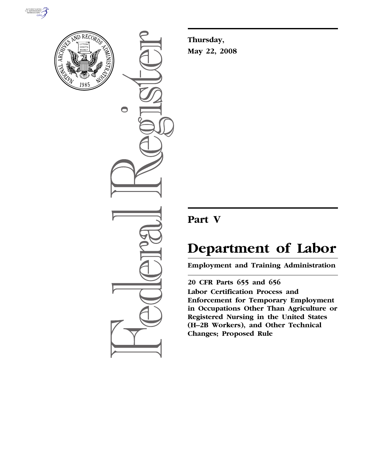



 $\bullet$ 

**Thursday, May 22, 2008** 

## **Part V**

# **Department of Labor**

**Employment and Training Administration** 

**20 CFR Parts 655 and 656 Labor Certification Process and Enforcement for Temporary Employment in Occupations Other Than Agriculture or Registered Nursing in the United States (H–2B Workers), and Other Technical Changes; Proposed Rule**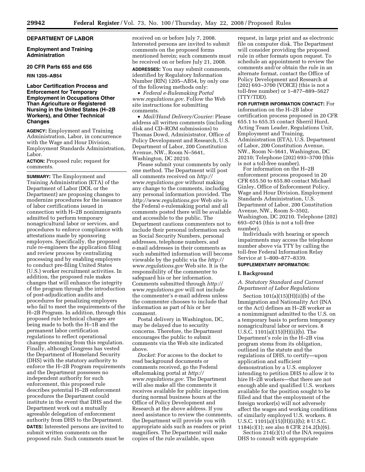## **DEPARTMENT OF LABOR**

**Employment and Training Administration** 

#### **20 CFR Parts 655 and 656**

**RIN 1205–AB54** 

## **Labor Certification Process and Enforcement for Temporary Employment in Occupations Other Than Agriculture or Registered Nursing in the United States (H–2B Workers), and Other Technical Changes**

**AGENCY:** Employment and Training Administration, Labor, in concurrence with the Wage and Hour Division, Employment Standards Administration, Labor.

**ACTION:** Proposed rule; request for comments.

**SUMMARY:** The Employment and Training Administration (ETA) of the Department of Labor (DOL or the Department) are proposing changes to modernize procedures for the issuance of labor certifications issued in connection with H–2B nonimmigrants admitted to perform temporary nonagricultural labor or services, and procedures to enforce compliance with attestations made by sponsoring employers. Specifically, the proposed rule re-engineers the application filing and review process by centralizing processing and by enabling employers to conduct pre-filing United States (U.S.) worker recruitment activities. In addition, the proposed rule makes changes that will enhance the integrity of the program through the introduction of post-adjudication audits and procedures for penalizing employers who fail to meet the requirements of the H–2B Program. In addition, through this proposed rule technical changes are being made to both the H–1B and the permanent labor certification regulations to reflect operational changes stemming from this regulation. Finally, although Congress has vested the Department of Homeland Security (DHS) with the statutory authority to enforce the H–2B Program requirements and the Department possesses no independent authority for such enforcement, this proposed rule describes potential H–2B enforcement procedures the Department could institute in the event that DHS and the Department work out a mutually agreeable delegation of enforcement authority from DHS to the Department. **DATES:** Interested persons are invited to submit written comments on the proposed rule. Such comments must be

received on or before July 7, 2008. Interested persons are invited to submit comments on the proposed forms mentioned herein; such comments must be received on or before July 21, 2008.

**ADDRESSES:** You may submit comments, identified by Regulatory Information Number (RIN) 1205–AB54, by only one of the following methods only:

• *Federal e-Rulemaking Portal www.regulations.gov*. Follow the Web site instructions for submitting comments.

• *Mail/Hand Delivery/Courier:* Please address all written comments (including disk and CD–ROM submissions) to Thomas Dowd, Administrator, Office of Policy Development and Research, U.S. Department of Labor, 200 Constitution Avenue, NW., Room N–5641, Washington, DC 20210.

Please submit your comments by only one method. The Department will post all comments received on *http:// www.regulations.gov* without making any change to the comments, including any personal information provided. The *http://www.regulations.gov* Web site is the Federal e-rulemaking portal and all comments posted there will be available and accessible to the public. The Department cautions commenters not to include their personal information such as Social Security Numbers, personal addresses, telephone numbers, and e-mail addresses in their comments as such submitted information will become viewable by the public via the *http:// www.regulations.gov* Web site. It is the responsibility of the commenter to safeguard his or her information. Comments submitted through *http:// www.regulations.gov* will not include the commenter's e-mail address unless the commenter chooses to include that information as part of his or her comment.

Postal delivery in Washington, DC, may be delayed due to security concerns. Therefore, the Department encourages the public to submit comments via the Web site indicated above.

*Docket:* For access to the docket to read background documents or comments received, go the Federal eRulemaking portal at *http:// www.regulations.gov*. The Department will also make all the comments it receives available for public inspection during normal business hours at the Office of Policy Development and Research at the above address. If you need assistance to review the comments, the Department will provide you with appropriate aids such as readers or print magnifiers. The Department will make copies of the rule available, upon

request, in large print and as electronic file on computer disk. The Department will consider providing the proposed rule in other formats upon request. To schedule an appointment to review the comments and/or obtain the rule in an alternate format, contact the Office of Policy Development and Research at (202) 693–3700 (VOICE) (this is not a toll-free number) or 1–877–889–5627 (TTY/TDD).

**FOR FURTHER INFORMATION CONTACT:** For information on the H–2B labor certification process proposed in 20 CFR 655.1 to 655.35 contact Sherril Hurd, Acting Team Leader, Regulations Unit, Employment and Training, Administration (ETA), U.S. Department of Labor, 200 Constitution Avenue, NW., Room N–5641, Washington, DC 20210; Telephone (202) 693–3700 (this is not a toll-free number).

For information on the H–2B enforcement process proposed in 20 CFR 655.50 to 655.80 contact Michael Ginley, Office of Enforcement Policy, Wage and Hour Division, Employment Standards Administration, U.S. Department of Labor, 200 Constitution Avenue, NW., Room S–3502, Washington, DC 20210. Telephone (202) 693–0745 (this is not a toll-free number).

Individuals with hearing or speech impairments may access the telephone number above via TTY by calling the toll-free Federal Information Relay Service at 1–800–877–8339.

## **SUPPLEMENTARY INFORMATION:**

#### **I. Background**

*A. Statutory Standard and Current Department of Labor Regulations* 

Section  $101(a)(15)(H)(ii)(b)$  of the Immigration and Nationality Act (INA or the Act) defines an H–2B worker as a nonimmigrant admitted to the U.S. on a temporary basis to perform temporary nonagricultural labor or services. 8 U.S.C. 1101(a)(15)(H)(ii)(b). The Department's role in the H–2B visa program stems from its obligation, outlined in the statute and the regulations of DHS, to certify—upon application and sufficient demonstration by a U.S. employer intending to petition DHS to allow it to hire H–2B workers—that there are not enough able and qualified U.S. workers available for the position sought to be filled and that the employment of the foreign worker(s) will not adversely affect the wages and working conditions of similarly employed U.S. workers. 8 U.S.C. 1101(a)(15)(H)(ii)(b); 8 U.S.C. 1184(c)(1); see also 8 CFR 214.2(h)(6).

Section 214(c)(1) of the INA requires DHS to consult with appropriate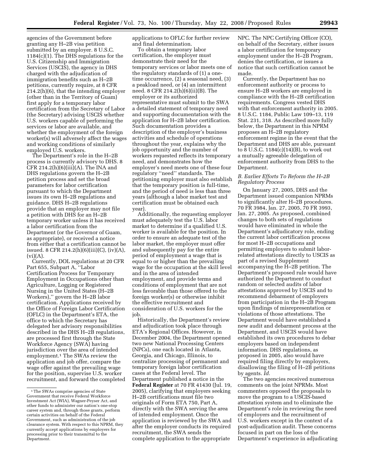agencies of the Government before granting any H–2B visa petition submitted by an employer. 8 U.S.C. 1184(c)(1). The DHS regulations for the U.S. Citizenship and Immigration Services (USCIS), the agency in DHS charged with the adjudication of immigration benefits such as H–2B petitions, currently require, at 8 CFR 214.2(h)(6), that the intending employer (other than in the Territory of Guam) first apply for a temporary labor certification from the Secretary of Labor (the Secretary) advising USCIS whether U.S. workers capable of performing the services or labor are available, and whether the employment of the foreign worker(s) will adversely affect the wages and working conditions of similarly employed U.S. workers.

The Department's role in the H–2B process is currently advisory to DHS. 8 CFR 214.2(h)(6)(iii)(A). The INA and DHS regulations govern the H–2B petition process and set the broad parameters for labor certification pursuant to which the Department issues its own H–2B regulations and guidance. DHS H–2B regulations provide that an employer may not file a petition with DHS for an H–2B temporary worker unless it has received a labor certification from the Department (or the Governor of Guam, as appropriate), or received a notice from either that a certification cannot be issued. 8 CFR 214.2(h)(6)(iii)(C), (iv)(A),  $(vi)(A).$ 

Currently, DOL regulations at 20 CFR Part 655, Subpart A, "Labor Certification Process for Temporary Employment in Occupations other than Agriculture, Logging or Registered Nursing in the United States (H–2B Workers),'' govern the H–2B labor certification. Applications received by the Office of Foreign Labor Certification (OFLC) in the Department's ETA, the office to which the Secretary has delegated her advisory responsibilities described in the DHS H–2B regulations, are processed first through the State Workforce Agency (SWA) having jurisdiction over the area of intended employment.1 The SWAs review the application and job offer, compare the wage offer against the prevailing wage for the position, supervise U.S. worker recruitment, and forward the completed applications to OFLC for further review and final determination.

To obtain a temporary labor certification, the employer must demonstrate their need for the temporary services or labor meets one of the regulatory standards of (1) a onetime occurrence, (2) a seasonal need, (3) a peakload need, or (4) an intermittent need. 8 CFR 214.2(h)(6)(ii)(B). The employer or its authorized representative must submit to the SWA a detailed statement of temporary need and supporting documentation with the application for H–2B labor certification. Such documentation provides a description of the employer's business activities and schedule of operations throughout the year, explains why the job opportunity and the number of workers requested reflects its temporary need, and demonstrates how the employer's need meets one of these four regulatory ''need'' standards. The petitioning employer must also establish that the temporary position is full-time, and the period of need is less than three years (although a labor market test and certification must be obtained each year).

Additionally, the requesting employer must adequately test the U.S. labor market to determine if a qualified U.S. worker is available for the position. In order to ensure an adequate test of the labor market, the employer must offer and subsequently pay for the entire period of employment a wage that is equal to or higher than the prevailing wage for the occupation at the skill level and in the area of intended employment, and provide terms and conditions of employment that are not less favorable than those offered to the foreign worker(s) or otherwise inhibit the effective recruitment and consideration of U.S. workers for the job.

Historically, the Department's review and adjudication took place through ETA's Regional Offices. However, in December 2004, the Department opened two new National Processing Centers (NPCs), one each located in Atlanta, Georgia, and Chicago, Illinois, to centralize processing of permanent and temporary foreign labor certification cases at the Federal level. The Department published a notice in the **Federal Register** at 70 FR 41430 (Jul. 19, 2005), clarifying that employers seeking H–2B certifications must file two originals of Form ETA 750, Part A, directly with the SWA serving the area of intended employment. Once the application is reviewed by the SWA and after the employer conducts its required recruitment, the SWA sends the complete application to the appropriate

NPC. The NPC Certifying Officer (CO), on behalf of the Secretary, either issues a labor certification for temporary employment under the H–2B Program, denies the certification, or issues a notice that such certification cannot be made.

Currently, the Department has no enforcement authority or process to ensure H–2B workers are employed in compliance with the H–2B certification requirements. Congress vested DHS with that enforcement authority in 2005. 8 U.S.C. 1184, Public Law 109–13, 119 Stat. 231, 318. As described more fully below, the Department in this NPRM proposes an H–2B regulatory enforcement regime in the event that the Department and DHS are able, pursuant to 8 U.S.C. 1184(c)(14)(B), to work out a mutually agreeable delegation of enforcement authority from DHS to the Department.

## *B. Earlier Efforts To Reform the H–2B Regulatory Process*

On January 27, 2005, DHS and the Department issued companion NPRMs to significantly alter H–2B procedures. 70 FR 3984, Jan. 27, 2005, 70 FR 3993, Jan. 27, 2005. As proposed, combined changes to both sets of regulations would have eliminated in whole the Department's adjudicatory role, ending the current labor certification process for most H–2B occupations and permitting employers to submit laborrelated attestations directly to USCIS as part of a revised Supplement accompanying the H–2B petition. The Department's proposed rule would have authorized the Department to conduct random or selected audits of labor attestations approved by USCIS and to recommend debarment of employers from participation in the H–2B Program upon findings of misrepresentation or violations of those attestations. The Department would have established a new audit and debarment process at the Department, and USCIS would have established its own procedures to debar employers based on independent information. DHS regulations, as proposed in 2005, also would have required filing directly by employers, disallowing the filing of H–2B petitions by agents. *Id*.

The two agencies received numerous comments on the joint NPRMs. Most commenters opposed the proposals to move the program to a USCIS-based attestation system and to eliminate the Department's role in reviewing the need of employers and the recruitment of U.S. workers except in the context of a post-adjudication audit. These concerns focused in part on the loss of the Department's experience in adjudicating

<sup>&</sup>lt;sup>1</sup>The SWAs comprise agencies of State Government that receive Federal Workforce Investment Act (WIA), Wagner-Peyser Act, and other funds to administer our nation's one-stop career system and, through those grants, perform certain activities on behalf of the Federal Government, such as administration of the job clearance system. With respect to this NPRM, they currently accept applications by employers for processing prior to their transmittal to the Department.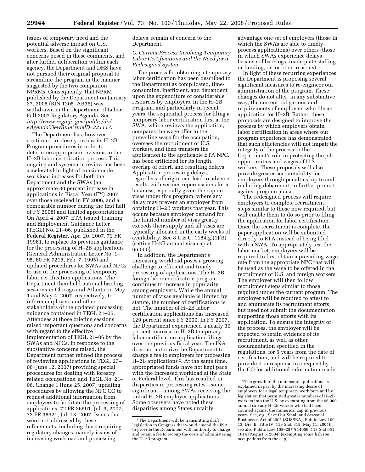issues of temporary need and the potential adverse impact on U.S. workers. Based on the significant concerns posed in these comments, and after further deliberation within each agency, the Department and DHS have not pursued their original proposal to streamline the program in the manner suggested by the two companion NPRMs. Consequently, that NPRM published by the Department on January 27, 2005 (RIN 1205–AB36) was withdrawn in the Department of Labor Fall 2007 Regulatory Agenda. See *http://www.reginfo.gov/public/do/ eAgendaViewRule?ruleID=221117*.

The Department has, however, continued to closely review its H–2B Program procedures in order to determine appropriate revisions to the H–2B labor certification process. This ongoing and systematic review has been accelerated in light of considerable workload increases for both the Department and the SWAs (an approximate 30 percent increase in applications in Fiscal Year (FY) 2007 over those received in FY 2006, and a comparable number during the first half of  $\overline{YY}$  2008) and limited appropriations. On April 4, 2007, ETA issued Training and Employment Guidance Letter (TEGL) No. 21–06, published in the **Federal Register**, Apr. 20, 2007, 72 FR 19961, to replace its previous guidance for the processing of H–2B applications (General Administration Letter No. 1– 95, 60 FR 7216, Feb. 7, 1995) and updated procedures for SWAs and NPCs to use in the processing of temporary labor certification applications. The Department then held national briefing sessions in Chicago and Atlanta on May 1 and May 4, 2007, respectively, to inform employers and other stakeholders of the updated processing guidance contained in TEGL 21–06. Attendees at those briefing sessions raised important questions and concerns with regard to the effective implementation of TEGL 21–06 by the SWAs and NPCs. In response to the substantive concerns raised, the Department further refined the process of reviewing applications in TEGL 27– 06 (June 12, 2007) providing special procedures for dealing with forestry related occupations, and TEGL No. 21– 06, Change 1 (June 25, 2007) updating procedures by allowing the NPC CO to request additional information from employers to facilitate the processing of applications. 72 FR 36501, Jul. 3, 2007; 72 FR 38621, Jul. 13, 2007. Issues that were not addressed by these refinements, including those requiring regulatory changes, namely issues of increasing workload and processing

delays, remain of concern to the Department.

## *C. Current Process Involving Temporary Labor Certifications and the Need for a Redesigned System*

The process for obtaining a temporary labor certification has been described to the Department as complicated, timeconsuming, inefficient, and dependent upon the expenditure of considerable resources by employers. In the H–2B Program, and particularly in recent years, the sequential process for filing a temporary labor certification first at the SWA, which reviews the application, compares the wage offer to the prevailing wage for the occupation, oversees the recruitment of U.S. workers, and then transfers the application to the applicable ETA NPC, has been criticized for its length, overlap of effort, and resulting delays. Application processing delays, regardless of origin, can lead to adverse results with serious repercussions for a business, especially given the cap on visas under this program, where any delay may prevent an employer from obtaining H–2B workers that year. This occurs because employer demand for the limited number of visas greatly exceeds their supply and all visas are typically allocated in the early weeks of availability. See 8 U.S.C. 1184(g)(1)(B) (setting H–2B annual visa cap at 66,000).

In addition, the Department's increasing workload poses a growing challenge to efficient and timely processing of applications. The H–2B foreign labor certification program continues to increase in popularity among employers. While the annual number of visas available is limited by statute, the number of certifications is not. The number of H–2B labor certification applications has increased 129 percent since FY 2000. In FY 2007, the Department experienced a nearly 30 percent increase in H–2B temporary labor certification application filings over the previous fiscal year. The INA does not authorize the Department to charge a fee to employers for processing H–2B applications 2. At the same time, appropriated funds have not kept pace with the increased workload at the State or Federal level. This has resulted in disparities in processing rates—some significant—among SWAs receiving the initial H–2B employer applications. Some observers have noted these disparities among States unfairly

advantage one set of employers (those in which the SWAs are able to timely process applications) over others (those in which SWAs experience delays because of backlogs, inadequate staffing or funding, or for other reasons).3

In light of these recurring experiences, the Department is proposing several significant measures to re-engineer our administration of the program. These changes do not alter, in any substantive way, the current obligations and requirements of employers who file an application for H–2B. Rather, these proposals are designed to improve the process by which employers obtain labor certification in areas where our program experience has demonstrated that such efficiencies will not impair the integrity of the process or the Department's role in protecting the job opportunities and wages of U.S. workers. These proposals will also provide greater accountability for employers through penalties, up to and including debarment, to further protect against program abuse.

The redesigned process will require employers to complete recruitment steps similar to those now required, but will enable them to do so prior to filing the application for labor certification. Once the recruitment is complete, the paper application will be submitted directly to ETA instead of being filed with a SWA. To appropriately test the labor market, employers will be required to first obtain a prevailing wage rate from the appropriate NPC that will be used as the wage to be offered in the recruitment of U.S. and foreign workers. The employer will then follow recruitment steps similar to those required under the current program. The employer will be required to attest to and enumerate its recruitment efforts, but need not submit the documentation supporting those efforts with its application. To ensure the integrity of the process, the employer will be expected to retain evidence of its recruitment, as well as other documentation specified in the regulations, for 5 years from the date of certification, and will be required to provide it in response to a request by the CO for additional information made

<sup>2</sup>The Department will be transmitting draft legislation to Congress that would amend the INA to provide the Department with authority to charge and retain a fee to recoup the costs of administering the H–2B program.

<sup>3</sup>The growth in the number of applications is explained in part by the increasing desire of employers for a legal temporary workforce and by legislation that permitted greater numbers of H–2B workers into the U.S. by exempting from the 66,000 annual cap any H–2B worker who had been counted against the numerical cap in previous years. See, e.g., Save Our Small and Seasonal Businesses Act of 2005 (SOSSBA), Public Law 109– 13, Div. B, Title IV, 119 Stat. 318 (May 11, 2005); see also Public Law 108–287 § 14006, 118 Stat 951, 1014 (August 6, 2004) (exempting some fish roe occupations from the cap).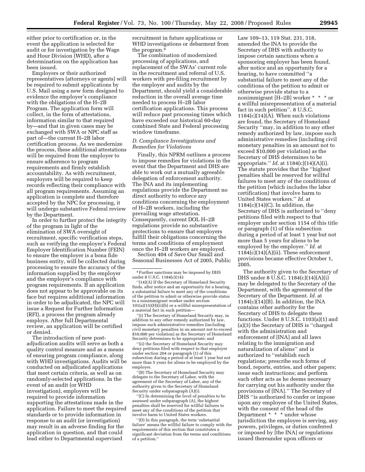either prior to certification or, in the event the application is selected for audit or for investigation by the Wage and Hour Division (WHD), after a determination on the application has been issued.

Employers or their authorized representatives (attorneys or agents) will be required to submit applications by U.S. Mail using a new form designed to evidence the employer's compliance with the obligations of the H–2B Program. The application form will collect, in the form of attestations, information similar to that required by—and that in given cases may be exchanged with SWA or NPC staff as part of—the current H–2B labor certification process. As we modernize the process, these additional attestations will be required from the employer to ensure adherence to program requirements and firmly establish accountability. As with recruitment, employers will be required to keep records reflecting their compliance with all program requirements. Assuming an application is complete and therefore accepted by the NPC for processing, it will undergo substantive Federal review by the Department.

In order to further protect the integrity of the program in light of the elimination of SWA oversight of recruitment, specific verification steps, such as verifying the employer's Federal Employer Identification Number (FEIN) to ensure the employer is a bona fide business entity, will be collected during processing to ensure the accuracy of the information supplied by the employer and the employer's compliance with program requirements. If an application does not appear to be approvable on its face but requires additional information in order to be adjudicated, the NPC will issue a Request for Further Information (RFI), a process the program already employs. After full Departmental review, an application will be certified or denied.

The introduction of new postadjudication audits will serve as both a quality control measure and as a means of ensuring program compliance, along with WHD investigations. Audits will be conducted on adjudicated applications that meet certain criteria, as well as on randomly-selected applications. In the event of an audit (or WHD investigation), employers will be required to provide information supporting the attestations made in the application. Failure to meet the required standards or to provide information in response to an audit (or investigation) may result in an adverse finding for the application in question, and that could lead either to Departmental supervised

recruitment in future applications or WHD investigations or debarment from the program.4

The combination of modernized processing of applications, and replacement of the SWAs' current role in the recruitment and referral of U.S. workers with pre-filing recruitment by the employer and audits by the Department, should yield a considerable reduction in the overall average time needed to process H–2B labor certification applications. This process will reduce past processing times which have exceeded our historical 60-day combined State and Federal processing window timeframe.

## *D. Compliance Investigations and Remedies for Violations*

Finally, this NPRM outlines a process to impose remedies for violations in the event that the Department and DHS are able to work out a mutually agreeable delegation of enforcement authority. The INA and its implementing regulations provide the Department no direct authority to enforce any conditions concerning the employment of H–2B workers, including the prevailing wage attestation. Consequently, current DOL H–2B regulations provide no substantive protections to ensure that employers fulfill their obligations concerning the terms and conditions of employment once the H–2B workers are employed.

Section 404 of Save Our Small and Seasonal Businesses Act of 2005, Public

''(i) The Secretary of Homeland Security may, in addition to any other remedy authorized by law, impose such administrative remedies (including civil monetary penalties in an amount not to exceed \$10,000 per violation) as the Secretary of Homeland Security determines to be appropriate; and

''(ii) the Secretary of Homeland Security may deny petitions filed with respect to that employer under section 204 or paragraph (1) of this subsection during a period of at least 1 year but not more than 5 years for aliens to be employed by the employer.

''(B) The Secretary of Homeland Security may delegate to the Secretary of Labor, with the agreement of the Secretary of Labor, any of the authority given to the Secretary of Homeland Security under subparagraph (A)(i).

''(C) In determining the level of penalties to be assessed under subparagraph (A), the highest penalties shall be reserved for willful failures to meet any of the conditions of the petition that involve harm to United States workers.

''(D) In this paragraph, the term 'substantial failure' means the willful failure to comply with the requirements of this section that constitutes a significant deviation from the terms and conditions of a petition.''

Law 109–13, 119 Stat. 231, 318, amended the INA to provide the Secretary of DHS with authority to impose certain sanctions when a sponsoring employer has been found, after notice and an opportunity for a hearing, to have committed ''a substantial failure to meet any of the conditions of the petition to admit or otherwise provide status to a nonimmigrant [H–2B] worker \* \* \* or a willful misrepresentation of a material fact in such petition''. 8 U.S.C. 1184(c)(14)(A). When such violations are found, the Secretary of Homeland Security ''may, in addition to any other remedy authorized by law, impose such administrative remedies (including civil monetary penalties in an amount not to exceed \$10,000 per violation) as the Secretary of DHS determines to be appropriate.'' *Id.* at 1184(c)(14)(A)(i). The statute provides that the ''highest penalties shall be reserved for willful failures to meet any of the conditions of the petition (which includes the labor certification) that involve harm to United States workers.'' *Id.* at 1184(c)(14)(C). In addition, the Secretary of DHS is authorized to ''deny petitions filed with respect to that employer under section 1154 of this title or paragraph (1) of this subsection during a period of at least 1 year but not more than 5 years for aliens to be employed by the employer.'' *Id.* at  $1184(c)(14)(A)(ii)$ . These enforcement provisions became effective October 1, 2005.

The authority given to the Secretary of DHS under 8 U.S.C. 1184(c)(14)(A)(i) may be delegated to the Secretary of the Department, with the agreement of the Secretary of the Department. *Id.* at  $1184(c)(14)(B)$ . In addition, the INA contains other authority for the Secretary of DHS to delegate these functions. Under 8 U.S.C. 1103(a)(1) and (a)(3) the Secretary of DHS is ''charged with the administration and enforcement of [INA] and all laws relating to the immigration and naturalization of aliens'' and is authorized to ''establish such regulations; prescribe such forms of bond, reports, entries, and other papers; issue such instructions; and perform such other acts as he deems necessary for carrying out his authority under the provisions of [INA].'' The Secretary of DHS ''is authorized to confer or impose upon any employee of the United States, with the consent of the head of the Department \* \* \* under whose jurisdiction the employee is serving, any powers, privileges, or duties conferred or imposed by [the INA] or regulations issued thereunder upon officers or

<sup>4</sup>Further sanctions may be imposed by DHS under 8 U.S.C. 1184(c)(14):

<sup>&#</sup>x27;'(14)(A) If the Secretary of Homeland Security finds, after notice and an opportunity for a hearing, a substantial failure to meet any of the conditions of the petition to admit or otherwise provide status to a nonimmigrant worker under section  $101(a)(15)(H)$ (ii)(b) or a willful misrepresentation of a material fact in such petition—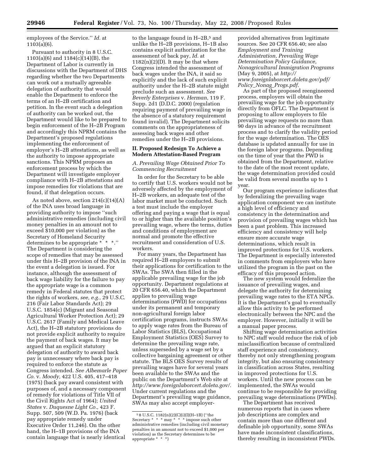employees of the Service.'' *Id.* at 1103(a)(6).

Pursuant to authority in 8 U.S.C. 1103(a)(6) and 1184(c)(14)(B), the Department of Labor is currently in discussions with the Department of DHS regarding whether the two Departments can work out a mutually agreeable delegation of authority that would enable the Department to enforce the terms of an H–2B certification and petition. In the event such a delegation of authority can be worked out, the Department would like to be prepared to begin enforcement of the H–2B Program and accordingly this NPRM contains the Department's proposed regulations implementing the enforcement of employer's H–2B attestations, as well as the authority to impose appropriate sanctions. This NPRM proposes an enforcement process by which the Department will investigate employer compliance with H–2B attestations and impose remedies for violations that are found, if that delegation occurs.

As noted above, section  $214(c)(14)(A)$ of the INA uses broad language in providing authority to impose ''such administrative remedies (including civil money penalties in an amount not to exceed \$10,000 per violation) as the Secretary of Homeland Security determines to be appropriate \* \* \*." The Department is considering the scope of remedies that may be assessed under this H–2B provision of the INA in the event a delegation is issued. For instance, although the assessment of back wage liability for the failure to pay the appropriate wage is a common remedy in Federal statutes that protect the rights of workers, *see, e.g.,* 29 U.S.C. 216 (Fair Labor Standards Act); 29 U.S.C. 1854(c) (Migrant and Seasonal Agricultural Worker Protection Act); 29 U.S.C. 2617 (Family and Medical Leave Act), the H–2B statutory provisions do not provide explicit authority to require the payment of back wages. It may be argued that an explicit statutory delegation of authority to award back pay is unnecessary where back pay is required to enforce the statute as Congress intended. *See Albemarle Paper Co.* v. *Moody,* 422 U.S. 405, 417–418 (1975) (back pay award consistent with purposes of, and a necessary component of remedy for violations of Title VII of the Civil Rights Act of 1964); *United States* v. *Duquesne Light Co.,* 423 F. Supp. 507, 509 (W.D. Pa. 1976) (back pay appropriate remedy under Executive Order 11,246). On the other hand, the H–1B provisions of the INA contain language that is nearly identical

to the language found in H-2B,<sup>5</sup> and unlike the H–2B provisions, H–1B also contains explicit authorization for the assessment of back pay, *Id.* at  $1182(n)(2)(D)$ . It may be that where Congress intended the assessment of back wages under the INA, it said so explicitly and the lack of such explicit authority under the H–2B statute might preclude such an assessment. *See Beverly Enterprises* v. *Herman,* 119 F. Supp. 2d1 (D.D.C. 2000) (regulation requiring payment of prevailing wage in the absence of a statutory requirement found invalid). The Department solicits comments on the appropriateness of assessing back wages and other remedies under the H–2B provisions.

## **II. Proposed Redesign To Achieve a Modern Attestation-Based Program**

## *A. Prevailing Wage Obtained Prior To Commencing Recruitment*

In order for the Secretary to be able to certify that U.S. workers would not be adversely affected by the employment of H–2B workers, an adequate test of the labor market must be conducted. Such a test must include the employer offering and paying a wage that is equal to or higher than the available position's prevailing wage, where the terms, duties and conditions of employment are normal and promote the effective recruitment and consideration of U.S. workers.

For many years, the Department has required H–2B employers to submit their applications for certification to the SWAs. The SWA then filled in the applicable prevailing wage for the job opportunity. Department regulations at 20 CFR 656.40, which the Department applies to prevailing wage determinations (PWD) for occupations under its permanent and temporary non-agricultural foreign labor certification programs, instructs SWAs to apply wage rates from the Bureau of Labor Statistics (BLS), Occupational Employment Statistics (OES) Survey to determine the prevailing wage rate, unless superseded by a wage set by a collective bargaining agreement or other statute. The BLS OES Survey results of prevailing wages have for several years been available to the SWAs and the public on the Department's Web site at *http://www.foreignlaborcert.doleta.gov/.*  Under current regulations and the Department's prevailing wage guidance, SWAs may also accept employer-

provided alternatives from legitimate sources. See 20 CFR 656.40; see also *Employment and Training Administration, Prevailing Wage Determination Policy Guidance, Nonagricultural Immigration Programs*  (May 9, 2005), at *http:// www.foreignlaborcert.doleta.gov/pdf/ Policy*\_*Nonag*\_*Progs.pdf.* 

As part of the proposed reengineered process, employers will obtain the prevailing wage for the job opportunity directly from OFLC. The Department is proposing to allow employers to file prevailing wage requests no more than 90 days in advance of the recruitment process and to clarify the validity period for the wage determination. The OES database is updated annually for use in the foreign labor programs. Depending on the time of year that the PWD is obtained from the Department, relative to the date of the most recent update, the wage determination provided could be valid from several months up to 1 year.

Our program experience indicates that by federalizing the prevailing wage application component we can institute a high level of efficiency and consistency in the determination and provision of prevailing wages which has been a past problem. This increased efficiency and consistency will help ensure more accurate wage determinations, which result in improved protections for U.S. workers. The Department is especially interested in comments from employers who have utilized the program in the past on the efficacy of this proposed action.

The new system would federalize the issuance of prevailing wages, and delegate the authority for determining prevailing wage rates to the ETA NPCs. It is the Department's goal to eventually allow this activity to be performed electronically between the NPC and the employer. However, initially it will be a manual paper process.

Shifting wage determination activities to NPC staff would reduce the risk of job misclassification because of centralized staff experience and consistency, thereby not only strengthening program integrity, but also ensuring consistency in classification across States, resulting in improved protections for U.S. workers. Until the new process can be implemented, the SWAs would continue to be responsible for providing prevailing wage determinations (PWDs).

The Department has received numerous reports that in cases where job descriptions are complex and contain more than one different and definable job opportunity, some SWAs have made inconsistent classifications, thereby resulting in inconsistent PWDs.

<sup>5</sup> 8 U.S.C. 1182(n)(2)(C)(i)(I)(H–1B) (''the Secretary \* \* \* may \* \* \* impose such other administrative remedies (including civil monetary penalties in an amount not to exceed \$1,000 per violation) as the Secretary determines to be appropriate \* \* \*)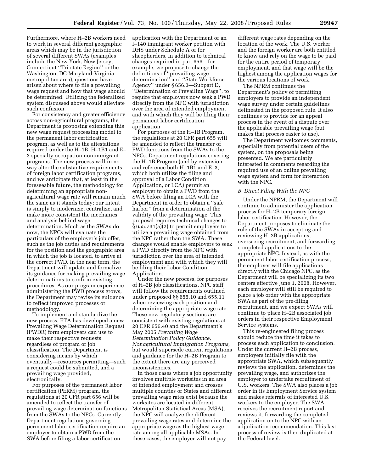Furthermore, where H–2B workers need to work in several different geographic areas which may be in the jurisdiction of several different SWAs (examples include the New York, New Jersey, Connecticut ''Tri-state Region'' or the Washington, DC-Maryland-Virginia metropolitan area), questions have arisen about where to file a prevailing wage request and how that wage should be determined. Utilizing the federalized system discussed above would alleviate such confusion.

For consistency and greater efficiency across non-agricultural programs, the Department is proposing extending this new wage request processing model to the permanent labor certification program, as well as to the attestations required under the H–1B, H–1B1 and E– 3 specialty occupation nonimmigrant programs. The new process will in no way alter the substantive requirements of foreign labor certification programs, and we anticipate that, at least in the foreseeable future, the methodology for determining an appropriate nonagricultural wage rate will remain much the same as it stands today; our intent is simply to modernize, centralize, and make more consistent the mechanics and analysis behind wage determination. Much as the SWAs do now, the NPCs will evaluate the particulars of the employer's job offer, such as the job duties and requirements for the position and the geographic area in which the job is located, to arrive at the correct PWD. In the near term, the Department will update and formalize its guidance for making prevailing wage determinations to confirm existing procedures. As our program experience administering the PWD process grows, the Department may revise its guidance to reflect improved processes or methodology.

To implement and standardize the new process, ETA has developed a new Prevailing Wage Determination Request (PWDR) form employers can use to make their respective requests regardless of program or job classification. The Department is considering means by which eventually—resources permitting—such a request could be submitted, and a prevailing wage provided, electronically.

For purposes of the permanent labor certification (PERM) program, the regulations at 20 CFR part 656 will be amended to reflect the transfer of prevailing wage determination functions from the SWAs to the NPCs. Currently, Department regulations governing permanent labor certification require an employer to obtain a PWD from the SWA before filing a labor certification

application with the Department or an I–140 immigrant worker petition with DHS under Schedule A or for sheepherders. In addition to technical changes required in part 656—for example, we propose to change the definitions of ''prevailing wage determination'' and ''State Workforce Agency'' under § 656.3—Subpart D, ''Determination of Prevailing Wage'', to require that employers now seek a PWD directly from the NPC with jurisdiction over the area of intended employment and with which they will be filing their permanent labor certification application.

For purposes of the H–1B Program, the regulations at 20 CFR part 655 will be amended to reflect the transfer of PWD functions from the SWAs to the NPCs. Department regulations covering the H–1B Program (and by extension and reference both H–1B1 and E–3, which both utilize the filing and approval of a Labor Condition Application, or LCA) permit an employer to obtain a PWD from the SWA before filing an LCA with the Department in order to obtain a ''safe harbor'' from a determination of the validity of the prevailing wage. This proposal requires technical changes to § 655.731(a)(2) to permit employers to utilize a prevailing wage obtained from the NPC rather than the SWA. These changes would enable employers to seek a PWD directly from the NPC with jurisdiction over the area of intended employment and with which they will be filing their Labor Condition Application.

Under the new process, for purposes of H–2B job classifications, NPC staff will follow the requirements outlined under proposed §§ 655.10 and 655.11 when reviewing each position and determining the appropriate wage rate. These new regulatory sections are consistent with existing regulations at 20 CFR 656.40 and the Department's May 2005 *Prevailing Wage Determination Policy Guidance, Nonagricultural Immigration Programs,*  but would supersede current regulations and guidance for the H–2B Program to the extent there are any perceived inconsistencies.

In those cases where a job opportunity involves multiple worksites in an area of intended employment and crosses multiple counties or States and different prevailing wage rates exist because the worksites are located in different Metropolitan Statistical Areas (MSA), the NPC will analyze the different prevailing wage rates and determine the appropriate wage as the highest wage rate among all applicable MSAs. In these cases, the employer will not pay

different wage rates depending on the location of the work. The U.S. worker and the foreign worker are both entitled to know and rely on the wage to be paid for the entire period of temporary employment, and that wage will be the highest among the application wages for the various locations of work.

The NPRM continues the Department's policy of permitting employers to provide an independent wage survey under certain guidelines delineated in the proposed rule. It also continues to provide for an appeal process in the event of a dispute over the applicable prevailing wage (but makes that process easier to use).

The Department welcomes comments, especially from potential users of the system, on the proposals being presented. We are particularly interested in comments regarding the required use of an online prevailing wage system and form for interaction with the NPC.

## *B. Direct Filing With the NPC*

Under the NPRM, the Department will continue to administer the application process for H–2B temporary foreign labor certification. However, the Department proposes to eliminate the role of the SWAs in accepting and reviewing H–2B applications, overseeing recruitment, and forwarding completed applications to the appropriate NPC. Instead, as with the permanent labor certification process, the employer will file applications directly with the Chicago NPC, as the Department will be specializing its two centers effective June 1, 2008. However, each employer will still be required to place a job order with the appropriate SWA as part of the pre-filing recruitment, and we expect SWAs will continue to place H–2B associated job orders in their respective Employment Service systems.

This re-engineered filing process should reduce the time it takes to process each application to conclusion. Under the current H–2B process, employers initially file with the appropriate SWA, which subsequently reviews the application, determines the prevailing wage, and authorizes the employer to undertake recruitment of U.S. workers. The SWA also places a job order in its Employment Service system and makes referrals of interested U.S. workers to the employer. The SWA receives the recruitment report and reviews it, forwarding the completed application on to the NPC with an adjudication recommendation. This last process of review is then duplicated at the Federal level.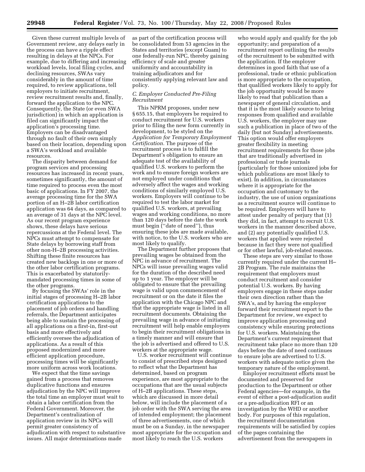Given these current multiple levels of Government review, any delays early in the process can have a ripple effect resulting in delays at the NPCs. For example, due to differing and increasing workload levels, local filing cycles, and declining resources, SWAs vary considerably in the amount of time required, to review applications, tell employers to initiate recruitment, review recruitment results and, finally, forward the application to the NPC. Consequently, the State (or even SWA jurisdiction) in which an application is filed can significantly impact the application's processing time. Employers can be disadvantaged through no fault of their own simply based on their location, depending upon a SWA's workload and available resources.

The disparity between demand for program services and processing resources has increased in recent years, sometimes significantly, the amount of time required to process even the most basic of applications. In FY 2007, the average processing time for the SWA portion of an H–2B labor certification application was 64 days, as compared to an average of 31 days at the NPC level. As our recent program experience shows, these delays have serious repercussions at the Federal level. The NPCs must attempt to compensate for State delays by borrowing staff from other non-H–2B processing activities. Shifting these finite resources has created new backlogs in one or more of the other labor certification programs. This is exacerbated by statutorilymandated processing times in some of the other programs.

By focusing the SWAs' role in the initial stages of processing H–2B labor certification applications to the placement of job orders and handling referrals, the Department anticipates being able to sustain the processing of all applications on a first-in, first-out basis and more effectively and efficiently oversee the adjudication of applications. As a result of this proposed modernized and more efficient application procedure, processing times will be significantly more uniform across work locations.

We expect that the time savings gained from a process that removes duplicative functions and ensures adjudication by the NPC will improve the total time an employer must wait to obtain a labor certification from the Federal Government. Moreover, the Department's centralization of application review in its NPCs will permit greater consistency of adjudication with respect to substantive issues. All major determinations made

as part of the certification process will be consolidated from 53 agencies in the States and territories (except Guam) to one federally-run NPC, thereby gaining efficiency of scale and greater uniformity and accountability in training adjudicators and for consistently applying relevant law and policy.

## *C. Employer Conducted Pre-Filing Recruitment*

This NPRM proposes, under new § 655.15, that employers be required to conduct recruitment for U.S. workers prior to filing the new form currently in development, to be styled on the *Application for Temporary Employment Certification.* The purpose of the recruitment process is to fulfill the Department's obligation to ensure an adequate test of the availability of qualified U.S. workers to perform the work and to ensure foreign workers are not employed under conditions that adversely affect the wages and working conditions of similarly employed U.S. workers. Employers will continue to be required to test the labor market for qualified U.S. workers, at prevailing wages and working conditions, no more than 120 days before the date the work must begin (''date of need''), thus ensuring these jobs are made available, with notice, to the U.S. workers who are most likely to qualify.

The Department further proposes that prevailing wages be obtained from the NPC in advance of recruitment. The NPCs will issue prevailing wages valid for the duration of the described need up to 1 year. The employer will be obligated to ensure that the prevailing wage is valid upon commencement of recruitment or on the date it files the application with the Chicago NPC and that the appropriate wage is listed in all recruitment documents. Obtaining the prevailing wage in advance of initiating recruitment will help enable employers to begin their recruitment obligations in a timely manner and will ensure that the job is advertised and offered to U.S. workers at the appropriate wage.

U.S. worker recruitment will continue to consist of prescribed steps designed to reflect what the Department has determined, based on program experience, are most appropriate to the occupations that are the usual subjects of H–2B applications. These steps, which are discussed in more detail below, will include the placement of a job order with the SWA serving the area of intended employment; the placement of three advertisements, one of which must be on a Sunday, in the newspaper most appropriate for the occupation and most likely to reach the U.S. workers

who would apply and qualify for the job opportunity; and preparation of a recruitment report outlining the results of the recruitment to be submitted with the application. If the employer determines in good faith that use of a professional, trade or ethnic publication is more appropriate to the occupation, that qualified workers likely to apply for the job opportunity would be more likely to read that publication than a newspaper of general circulation, and that it is the most likely source to bring responses from qualified and available U.S. workers, the employer may use such a publication in place of two of the daily (but not Sunday) advertisements. This option would offer employers greater flexibility in meeting recruitment requirements for those jobs that are traditionally advertised in professional or trade journals (particularly for those unionized jobs for which publications are most likely to exist). In addition, in circumstances where it is appropriate for the occupation and customary to the industry, the use of union organizations as a recruitment source will continue to be required. Employers will have to attest under penalty of perjury that (1) they did, in fact, attempt to recruit U.S. workers in the manner described above, and (2) any potentially qualified U.S. workers that applied were rejected because in fact they were not qualified or for other lawful, job-related reasons.

These steps are very similar to those currently required under the current H– 2B Program. The rule maintains the requirement that employers must conduct recruitment and consider potential U.S. workers. By having employers engage in these steps under their own direction rather than the SWA's, and by having the employer forward their recruitment report to the Department for review, we expect to improve application processing and consistency while ensuring protections for U.S. workers. Maintaining the Department's current requirement that recruitment take place no more than 120 days before the date of need continues to ensure jobs are advertised to U.S. workers with adequate notice given the temporary nature of the employment.

Employer recruitment efforts must be documented and preserved for production to the Department or other Federal agencies—for example, in the event of either a post-adjudication audit or a pre-adjudication RFI or an investigation by the WHD or another body. For purposes of this regulation, the recruitment documentation requirements will be satisfied by copies of the pages containing the advertisement from the newspapers in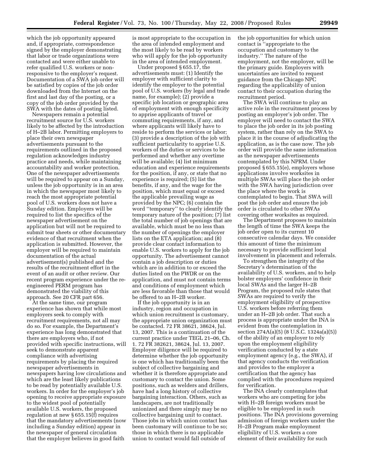which the job opportunity appeared and, if appropriate, correspondence signed by the employer demonstrating that labor or trade organizations were contacted and were either unable to refer qualified U.S. workers or nonresponsive to the employer's request. Documentation of a SWA job order will be satisfied by copies of the job order downloaded from the Internet on the first and last day of the posting, or a copy of the job order provided by the SWA with the dates of posting listed.

Newspapers remain a potential recruitment source for U.S. workers likely to be affected by the introduction of H–2B labor. Permitting employers to place their own newspaper advertisements pursuant to the requirements outlined in the proposed regulation acknowledges industry practice and needs, while maintaining accountability and worker protection. One of the newspaper advertisements will be required to appear on a Sunday, unless the job opportunity is in an area in which the newspaper most likely to reach the most appropriate potential pool of U.S. workers does not have a Sunday edition. Employers will be required to list the specifics of the newspaper advertisement on the application but will not be required to submit tear sheets or other documentary evidence of that recruitment when the application is submitted. However, the employer will be required to maintain documentation of the actual advertisement(s) published and the results of the recruitment effort in the event of an audit or other review. Our recent program experience under the reengineered PERM program has demonstrated the viability of this approach. See 20 CFR part 656.

At the same time, our program experience has shown that while most employers seek to comply with recruitment requirements, not all may do so. For example, the Department's experience has long demonstrated that there are employers who, if not provided with specific instructions, will seek to demonstrate apparent compliance with advertising requirements by placing the required newspaper advertisements in newspapers having low circulations and which are the least likely publications to be read by potentially available U.S. workers. In order for the employer's job opening to receive appropriate exposure to the widest pool of potentially available U.S. workers, the proposed regulation at new § 655.15(f) requires that the mandatory advertisements (now including a Sunday edition) appear in the newspaper of general circulation that the employer believes in good faith

is most appropriate to the occupation in the area of intended employment and the most likely to be read by workers who will apply for the job opportunity in the area of intended employment.

Under proposed § 655.17, the advertisements must: (1) Identify the employer with sufficient clarity to identify the employer to the potential pool of U.S. workers (by legal and trade name, for example); (2) provide a specific job location or geographic area of employment with enough specificity to apprise applicants of travel or commuting requirements, if any, and where applicants will likely have to reside to perform the services or labor; (3) provide a description of the job with sufficient particularity to apprise U.S. workers of the duties or services to be performed and whether any overtime will be available; (4) list minimum education and experience requirements for the position, if any, or state that no experience is required; (5) list the benefits, if any, and the wage for the position, which must equal or exceed the applicable prevailing wage as provided by the NPC; (6) contain the word ''temporary'' to clearly identify the temporary nature of the position; (7) list the total number of job openings that are available, which must be no less than the number of openings the employer lists on the ETA application; and (8) provide clear contact information to enable U.S. workers to apply for the job opportunity. The advertisement cannot contain a job description or duties which are in addition to or exceed the duties listed on the PWDR or on the application, and must not contain terms and conditions of employment which are less favorable than those that would be offered to an H–2B worker.

If the job opportunity is in an industry, region and occupation in which union recruitment is customary, the appropriate union organization must be contacted. 72 FR 38621, 38624, Jul. 13, 2007. This is a continuation of the current practice under TEGL 21–06, Ch. 1. 72 FR 382621, 38624, Jul. 13, 2007. Employer diligence will be required to determine whether the job opportunity is one which has traditionally been the subject of collective bargaining and whether it is therefore appropriate and customary to contact the union. Some positions, such as welders and drillers, have had a long history of collective bargaining interaction. Others, such as landscapers, are not traditionally unionized and there simply may be no collective bargaining unit to contact. Those jobs in which union contact has been customary will continue to be so; those in which there is no applicable union to contact would fall outside of

the job opportunities for which union contact is ''appropriate to the occupation and customary to the industry.'' The nature of the employment, not the employer, will be the primary guide. Employers with uncertainties are invited to request guidance from the Chicago NPC regarding the applicability of union contact to their occupation during the recruitment period.

The SWA will continue to play an active role in the recruitment process by posting an employer's job order. The employer will need to contact the SWA to place the job order in its job posting system, rather than rely on the SWA to place it in the course of adjudicating the application, as is the case now. The job order will provide the same information as the newspaper advertisements contemplated by this NPRM. Under proposed § 655.15(e), employers whose applications involve worksites in multiple SWAs will place the job order with the SWA having jurisdiction over the place where the work is contemplated to begin. That SWA will post the job order and ensure the job order is circulated to other SWAs covering other worksites as required.

The Department proposes to maintain the length of time the SWA keeps the job order open to its current 10 consecutive calendar days. We consider this amount of time the minimum necessary to provide sufficient local involvement in placement and referrals.

To strengthen the integrity of the Secretary's determination of the availability of U.S. workers, and to help bolster employers' confidence in their local SWAs and the larger H–2B Program, the proposed rule states that SWAs are required to verify the employment eligibility of prospective U.S. workers before referring them under an H–2B job order. That such a process is appropriate under the INA is evident from the contemplation in section 274A(a)(5) (8 U.S.C. 1324a(a)(5)) of the ability of an employer to rely upon the employment eligibility verification conducted by a state employment agency (e.g., the SWA), if that agency conducts the verification and provides to the employer a certification that the agency has complied with the procedures required for verification.

The INA clearly contemplates that workers who are competing for jobs with H–2B foreign workers must be eligible to be employed in such positions. The INA provisions governing admission of foreign workers under the H–2B Program make employment eligibility of U.S. workers a core element of their availability for such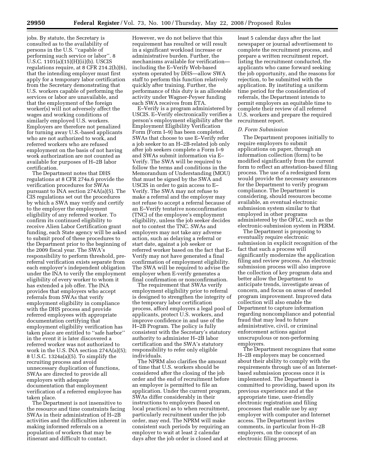jobs. By statute, the Secretary is consulted as to the availability of persons in the U.S. ''capable of performing such service or labor''. 8 U.S.C. 1101(a)(15)(H)(ii)(b). USCIS regulations require, at 8 CFR 214.2(h)(6), that the intending employer must first apply for a temporary labor certification from the Secretary demonstrating that U.S. workers capable of performing the services or labor are unavailable, and that the employment of the foreign worker(s) will not adversely affect the wages and working conditions of similarly employed U.S. workers. Employers are therefore not penalized for turning away U.S.-based applicants who are not authorized to work, and referred workers who are refused employment on the basis of not having work authorization are not counted as available for purposes of H–2B labor certification.

The Department notes that DHS regulations at 8 CFR 274a.6 provide the verification procedures for SWAs pursuant to INA section 274A(a)(5). The CIS regulations set out the procedures by which a SWA may verify and certify to the employer the employment eligibility of any referred worker. To confirm its continued eligibility to receive Alien Labor Certification grant funding, each State agency will be asked to submit proof of these procedures to the Department prior to the beginning of the 2009 fiscal year. The SWA's responsibility to perform threshold, prereferral verification exists separate from each employer's independent obligation under the INA to verify the employment eligibility of every worker to whom it has extended a job offer. The INA provides that employers who accept referrals from SWAs that verify employment eligibility in compliance with the DHS process and provide referred employees with appropriate documentation certifying that employment eligibility verification has taken place are entitled to ''safe harbor'' in the event it is later discovered a referred worker was not authorized to work in the U.S. INA section 274A(a)(5); 8 U.S.C. 1324a(a)(5). To simplify the recruiting process and avoid unnecessary duplication of functions, SWAs are directed to provide all employers with adequate documentation that employment verification of a referred employee has taken place.

The Department is not insensitive to the resource and time constraints facing SWAs in their administration of H–2B activities and the difficulties inherent in making informed referrals on a population of workers that may be itinerant and difficult to contact.

However, we do not believe that this requirement has resulted or will result in a significant workload increase or administrative burden. Further, the mechanisms available for verification including the E–Verify Web-based system operated by DHS—allow SWA staff to perform this function relatively quickly after training. Further, the performance of this duty is an allowable activity under Wagner-Peyser funding each SWA receives from ETA.

E–Verify is a program administered by USCIS. E–Verify electronically verifies a person's employment eligibility after the Employment Eligibility Verification Form (Form I–9) has been completed. SWAs that choose to use E–Verify refer a job seeker to an H–2B-related job only after job seekers complete a Form I–9 and SWAs submit information via E– Verify. The SWA will be required to follow the terms and conditions in the Memorandum of Understanding (MOU) that must be signed by the SWA and USCIS in order to gain access to E– Verify. The SWA may not refuse to make a referral and the employer may not refuse to accept a referral because of an E–Verify tentative nonconfirmation (TNC) of the employee's employment eligibility, unless the job seeker decides not to contest the TNC. SWAs and employers may not take any adverse action, such as delaying a referral or start date, against a job seeker or referred worker based on the fact that E– Verify may not have generated a final confirmation of employment eligibility. The SWA will be required to advise the employer when E-verify generates a final confirmation or nonconfirmation.

The requirement that SWAs verify employment eligibility prior to referral is designed to strengthen the integrity of the temporary labor certification process, afford employers a legal pool of applicants, protect U.S. workers, and improve confidence in and use of the H–2B Program. The policy is fully consistent with the Secretary's statutory authority to administer H–2B labor certification and the SWA's statutory responsibility to refer only eligible individuals.

The NPRM also clarifies the amount of time that U.S. workers should be considered after the closing of the job order and the end of recruitment before an employer is permitted to file an application. Under the current program, SWAs differ considerably in their instructions to employers (based on local practices) as to when recruitment, particularly recruitment under the job order, may end. The NPRM will make consistent such periods by requiring an employer to wait at least 2 calendar days after the job order is closed and at

least 5 calendar days after the last newspaper or journal advertisement to complete the recruitment process, and prepare a written recruitment report, listing the recruitment conducted, the applicants who came forward seeking the job opportunity, and the reasons for rejection, to be submitted with the application. By instituting a uniform time period for the consideration of referrals, the Department intends to permit employers an equitable time to complete their review of all referred U.S. workers and prepare the required recruitment report.

#### *D. Form Submission*

The Department proposes initially to require employers to submit applications on paper, through an information collection (form) to be modified significantly from the current form to reflect an attestation-based filing process. The use of a redesigned form would provide the necessary assurances for the Department to verify program compliance. The Department is considering, should resources become available, an eventual electronic submission system similar to that employed in other programs administered by the OFLC, such as the electronic-submission system in PERM.

The Department is proposing to eventually require electronic submission in explicit recognition of the fact that such a process will significantly modernize the application filing and review process. An electronic submission process will also improve the collection of key program data and better allow the Department to anticipate trends, investigate areas of concern, and focus on areas of needed program improvement. Improved data collection will also enable the Department to capture information regarding noncompliance and potential fraud that may lead to future administrative, civil, or criminal enforcement actions against unscrupulous or non-performing employers.

The Department recognizes that some H–2B employers may be concerned about their ability to comply with the requirements through use of an Internetbased submission process once it is implemented. The Department is committed to providing, based upon its previous experience and at the appropriate time, user-friendly electronic registration and filing processes that enable use by any employer with computer and Internet access. The Department invites comments, in particular from H–2B employers, on the concept of an electronic filing process.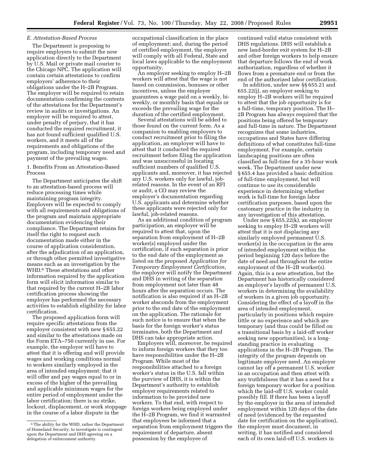#### *E. Attestation-Based Process*

The Department is proposing to require employers to submit the new application directly to the Department by U.S. Mail or private mail courier to the Chicago NPC. The application will contain certain attestations to confirm employers' adherence to their obligations under the H–2B Program. The employer will be required to retain documentation confirming the contents of the attestations for the Department's review in audits or investigations. An employer will be required to attest, under penalty of perjury, that it has conducted the required recruitment, it has not found sufficient qualified U.S. workers, and it meets all of the requirements and obligations of the program, including temporary need and payment of the prevailing wages.

1. Benefits From an Attestation-Based Process

The Department anticipates the shift to an attestation-based process will reduce processing times while maintaining program integrity. Employers will be expected to comply with all requirements and obligations of the program and maintain appropriate documentation evidencing their compliance. The Department retains for itself the right to request such documentation made either in the course of application consideration, after the adjudication of an application, or through other permitted investigative means such as an investigation by the WHD.6 These attestations and other information required by the application form will elicit information similar to that required by the current H–2B labor certification process showing the employer has performed the necessary activities to establish eligibility for labor certification.

The proposed application form will require specific attestations from the employer consistent with new § 655.22 and similar to the attestations made on the Form ETA–750 currently in use. For example, the employer will have to attest that it is offering and will provide wages and working conditions normal to workers similarly employed in the area of intended employment; that it will offer and pay wages equal to or in excess of the higher of the prevailing and applicable minimum wages for the entire period of employment under the labor certification; there is no strike, lockout, displacement, or work stoppage in the course of a labor dispute in the

occupational classification in the place of employment; and, during the period of certified employment, the employer will comply with all Federal, State and local laws applicable to the employment opportunity.

An employer seeking to employ H–2B workers will attest that the wage is not based on commission, bonuses or other incentives, unless the employer guarantees a wage paid on a weekly, biweekly, or monthly basis that equals or exceeds the prevailing wage for the duration of the certified employment.

Several attestations will be added to those found on the current form. As a companion to enabling employers to conduct recruitment prior to filing the application, an employer will have to attest that it conducted the required recruitment before filing the application and was unsuccessful in locating sufficient numbers of qualified U.S. applicants and, moreover, it has rejected any U.S. workers only for lawful, jobrelated reasons. In the event of an RFI or audit, a CO may review the employer's documentation regarding U.S. applicants and determine whether these applicants were rejected only for lawful, job-related reasons.

As an additional condition of program participation, an employer will be required to attest that, upon the separation from employment of H–2B worker(s) employed under the certification, if such separation is prior to the end date of the employment as listed on the proposed *Application for Temporary Employment Certification*, the employer will notify the Department and DHS in writing of the separation from employment not later than 48 hours after the separation occurs. The notification is also required if an H–2B worker absconds from the employment prior to the end date of the employment on the application. The rationale for such notice is to ensure that when the basis for the foreign worker's status terminates, both the Department and DHS can take appropriate action.

Employers will, moreover, be required to inform foreign workers that they too have responsibilities under the H–2B Program. While most of the responsibilities attached to a foreign worker's status in the U.S. fall within the purview of DHS, it is within the Department's authority to establish employer requirements related to information to be provided new workers. To that end, with respect to foreign workers being employed under the H–2B Program, we find it warranted that employees be informed that a separation from employment triggers the requirement of departure, absent possession by the employee of

continued valid status consistent with DHS regulations. DHS will establish a new land-border exit system for H–2B and other foreign workers to help ensure that departure follows the end of work authorization, regardless of whether it flows from a premature end or from the end of the authorized labor certification.

In addition, under new §§ 655.21 and 655.22(j), an employer seeking to employ H–2B workers will be required to attest that the job opportunity is for a full-time, temporary position. The H– 2B Program has always required that the positions being offered be temporary and full-time in nature. The Department recognizes that some industries, occupations and States have differing definitions of what constitutes full-time employment. For example, certain landscaping positions are often classified as full-time for a 35-hour work week. The Department under new § 655.4 has provided a basic definition of full-time employment, but will continue to use its considerable experience in determining whether work is full-time for foreign labor certification purposes, based upon the customary practice in the industry in any investigation of this attestation.

Under new § 655.22(k), an employer seeking to employ H–2B workers will attest that it is not displacing any similarly employed permanent U.S. worker(s) in the occupation in the area of intended employment within the period beginning 120 days before the date of need and throughout the entire employment of the H–2B worker(s). Again, this is a new attestation, but the Department has historically considered an employer's layoffs of permanent U.S. workers in determining the availability of workers in a given job opportunity. Considering the effect of a layoff in the area of intended employment, particularly in positions which require little or no experience and which are temporary (and thus could be filled on a transitional basis by a laid-off worker seeking new opportunities), is a longstanding practice in evaluating applications in the H–2B Program. The integrity of the program depends on legitimate employer need. An employer cannot lay off a permanent U.S. worker in an occupation and then attest with any truthfulness that it has a need for a foreign temporary worker for a position which the laid-off U.S. worker could possibly fill. If there has been a layoff by the employer in the area of intended employment within 120 days of the date of need (evidenced by the requested date for certification on the application), the employer must document, in writing, it has notified and considered each of its own laid-off U.S. workers in

<sup>6</sup>The ability for the WHD, rather the Department of Homeland Security, to investigate is contingent upon the Department and DHS agreeing on a delegation of enforcement authority.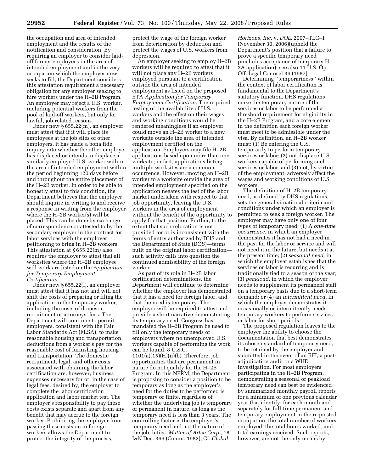the occupation and area of intended employment and the results of the notification and consideration. By requiring an employer to consider laidoff former employees in the area of intended employment and in the very occupation which the employer now seeks to fill, the Department considers this attestation requirement a necessary obligation for any employer seeking to hire workers under the H–2B Program. An employer may reject a U.S. worker, including potential workers from the pool of laid-off workers, but only for lawful, job-related reasons.

Under new § 655.22(m), an employer must attest that if it will place its employees at the job sites of other employers, it has made a bona fide inquiry into whether the other employer has displaced or intends to displace a similarly employed U.S. worker within the area of intended employment within the period beginning 120 days before and throughout the entire placement of the H–2B worker. In order to be able to honestly attest to this condition, the Department believes that the employer should inquire in writing to and receive a response in writing from the employer where the H–2B worker(s) will be placed. This can be done by exchange of correspondence or attested to by the secondary employer in the contract for labor services with the employer petitioning to bring in H–2B workers. This attestation at § 655.22(m) also requires the employer to attest that all worksites where the H–2B employee will work are listed on the *Application for Temporary Employment Certification.* 

Under new § 655.22(l), an employer must attest that it has not and will not shift the costs of preparing or filing the application to the temporary worker, including the costs of domestic recruitment or attorneys' fees. The Department will continue to permit employers, consistent with the Fair Labor Standards Act (FLSA), to make reasonable housing and transportation deductions from a worker's pay for the reasonable cost of furnishing housing and transportation. The domestic recruitment, legal, and other costs associated with obtaining the labor certification are, however, business expenses necessary for or, in the case of legal fees, desired by, the employer to complete the labor certification application and labor market test. The employer's responsibility to pay these costs exists separate and apart from any benefit that may accrue to the foreign worker. Prohibiting the employer from passing these costs on to foreign workers allows the Department to protect the integrity of the process,

protect the wage of the foreign worker from deterioration by deduction and protect the wages of U.S. workers from depression.

An employer seeking to employ H–2B workers will be required to attest that it will not place any H–2B workers employed pursuant to a certification outside the area of intended employment as listed on the proposed ETA *Application for Temporary Employment Certification.* The required testing of the availability of U.S. workers and the effect on their wages and working conditions would be rendered meaningless if an employer could move an H–2B worker to a new worksite outside the area of intended employment certified on the application. Employers may file H–2B applications based upon more than one worksite; in fact, applications listing multiple worksites are a common occurrence. However, moving an H–2B worker to a worksite outside the area of intended employment specified on the application negates the test of the labor market undertaken with respect to that job opportunity, leaving the U.S. workers in the area of employment without the benefit of the opportunity to apply for that position. Further, to the extent that such relocation is not provided for or is inconsistent with the terms of entry authorized by DHS and the Department of State (DOS)—terms built on the original labor certification such activity calls into question the continued admissibility of the foreign worker.

As part of its role in H–2B labor certification determinations, the Department will continue to determine whether the employer has demonstrated that it has a need for foreign labor, and that the need is temporary. The employer will be required to attest and provide a short narrative demonstrating its temporary need. Congress has mandated the H–2B Program be used to fill only the temporary needs of employers where no unemployed U.S. workers capable of performing the work can be found. 8 U.S.C.  $1101(a)(15)(H)(ii)(b)$ . Therefore, job opportunities that are permanent in nature do not qualify for the H–2B Program. In this NPRM, the Department is proposing to consider a position to be temporary as long as the employer's need for the duties to be performed is temporary or finite, regardless of whether the underlying job is temporary or permanent in nature, as long as the temporary need is less than 3 years. The controlling factor is the employer's temporary need and not the nature of the job duties. *Matter of Artee Corp.,* 18 I&N Dec. 366 (Comm. 1982); Cf. *Global* 

*Horizons, Inc.* v. *DOL*, 2007–TLC–1 (November 30, 2006)(upheld the Department's position that a failure to prove a specific temporary need precludes acceptance of temporary H– 2A application); see also 11 U.S. Op. Off. Legal Counsel 39 (1987).

Determining ''temporariness'' within the context of labor certification is fundamental to the Department's statutory function. DHS regulations make the temporary nature of the services or labor to be performed a threshold requirement for eligibility in the H–2B Program, and a core element in the definition each foreign worker must meet to be admissible under the visa. By definition, an H–2B worker must: (1) Be entering the U.S. temporarily to perform temporary services or labor; (2) not displace U.S. workers capable of performing such services or labor, and (3) not, by virtue of the employment, adversely affect the wages and working conditions of U.S. workers.

The definition of H–2B temporary need, as defined by DHS regulations, sets the general situational criteria and conditions under which an employer is permitted to seek a foreign worker. The employer may have only one of four types of temporary need: (1) A *one-time occurrence,* in which an employer demonstrates it has not had a need in the past for the labor or service and will not need it in the future, but needs it at the present time; (2) *seasonal need,* in which the employer establishes that the services or labor is recurring and is traditionally tied to a season of the year; (3) *peakload,* in which the employer needs to supplement its permanent staff on a temporary basis due to a short-term demand; or (4) an *intermittent need,* in which the employer demonstrates it occasionally or intermittently needs temporary workers to perform services or labor for short periods.

The proposed regulation leaves to the employer the ability to choose the documentation that best demonstrates its chosen standard of temporary need, to be retained by the employer and submitted in the event of an RFI, a postadjudication audit or a WHD investigation. For most employers participating in the H–2B Program, demonstrating a seasonal or peakload temporary need can best be evidenced by summarized monthly payroll reports for a minimum of one previous calendar year that identify, for each month and separately for full-time permanent and temporary employment in the requested occupation, the total number of workers employed, the total hours worked, and total earnings received. Such reports, however, are not the only means by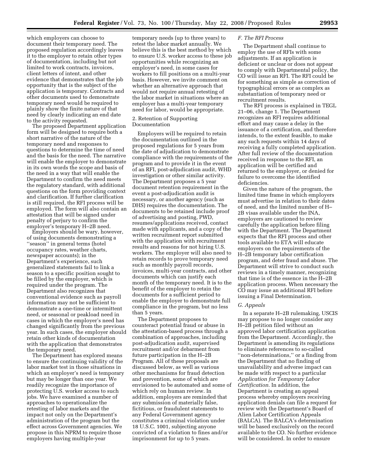which employers can choose to document their temporary need. The proposed regulation accordingly leaves it to the employer to retain other types of documentation, including but not limited to work contracts, invoices, client letters of intent, and other evidence that demonstrates that the job opportunity that is the subject of the application is temporary. Contracts and other documents used to demonstrate temporary need would be required to plainly show the finite nature of that need by clearly indicating an end date to the activity requested.

The proposed Department application form will be designed to require both a short narrative of the nature of the temporary need and responses to questions to determine the time of need and the basis for the need. The narrative will enable the employer to demonstrate in its own words the scope and basis of the need in a way that will enable the Department to confirm the need meets the regulatory standard, with additional questions on the form providing context and clarification. If further clarification is still required, the RFI process will be employed. The form will also contain an attestation that will be signed under penalty of perjury to confirm the employer's temporary H–2B need.

Employers should be wary, however, of using documents demonstrating a ''season'' in general terms (hotel occupancy rates, weather charts, newspaper accounts); in the Department's experience, such generalized statements fail to link a season to a specific position sought to be filled by the employer, which is required under the program. The Department also recognizes that conventional evidence such as payroll information may not be sufficient to demonstrate a one-time or intermittent need, or seasonal or peakload need in cases in which the employer's need has changed significantly from the previous year. In such cases, the employer should retain other kinds of documentation with the application that demonstrates the temporary need.

The Department has explored means to ensure the continuing validity of the labor market test in those situations in which an employer's need is temporary but may be longer than one year. We readily recognize the importance of protecting U.S. worker access to such jobs. We have examined a number of approaches to operationalize the retesting of labor markets and the impact not only on the Department's administration of the program but the effect across Government agencies. We propose in this NPRM to require those employers having multiple-year

temporary needs (up to three years) to retest the labor market annually. We believe this is the best method by which to ensure U.S. worker access to these job opportunities while recognizing an employer's need, in some cases for workers to fill positions on a multi-year basis. However, we invite comment on whether an alternative approach that would not require annual retesting of the labor market in situations where an employer has a multi-year temporary need for labor, would be appropriate.

## 2. Retention of Supporting Documentation

Employers will be required to retain the documentation outlined in the proposed regulations for 5 years from the date of adjudication to demonstrate compliance with the requirements of the program and to provide it in the event of an RFI, post-adjudication audit, WHD investigation or other similar activity. The Department proposes a 5 year document retention requirement in the event a post-adjudication audit is necessary, or another agency (such as DHS) requires the documentation. The documents to be retained include proof of advertising and posting, PWD, resumes/applications received, contact made with applicants, and a copy of the written recruitment report submitted with the application with recruitment results and reasons for not hiring U.S. workers. The employer will also need to retain records to prove temporary need such as monthly payroll records, invoices, multi-year contracts, and other documents which can justify each month of the temporary need. It is to the benefit of the employer to retain the documents for a sufficient period to enable the employer to demonstrate full compliance in the program, but no less than 5 years.

The Department proposes to counteract potential fraud or abuse in the attestation-based process through a combination of approaches, including post-adjudication audit, supervised recruitment and/or debarment from future participation in the H–2B Program. All of these proposals are discussed below, as well as various other mechanisms for fraud detection and prevention, some of which are envisioned to be automated and some of which rely on human review. In addition, employers are reminded that any submission of materially false, fictitious, or fraudulent statements to any Federal Government agency constitutes a criminal violation under 18 U.S.C. 1001, subjecting anyone convicted of a violation to fines and/or imprisonment for up to 5 years.

## *F. The RFI Process*

The Department shall continue to employ the use of RFIs with some adjustments. If an application is deficient or unclear or does not appear to comply with Departmental policy, the CO will issue an RFI. The RFI could be for something as simple as correction of typographical errors or as complex as substantiation of temporary need or recruitment results.

The RFI process is explained in TEGL 21–06, change 1. The Department recognizes an RFI requires additional effort and may cause a delay in the issuance of a certification, and therefore intends, to the extent feasible, to make any such requests within 14 days of receiving a fully completed application. After full review of the documentation received in response to the RFI, an application will be certified and returned to the employer, or denied for failure to overcome the identified deficiencies.

Given the nature of the program, the limited time frame in which employers must advertise in relation to their dates of need, and the limited number of H– 2B visas available under the INA, employers are cautioned to review carefully the application before filing with the Department. The Department expects that the RFI process and other tools available to ETA will educate employers on the requirements of the H–2B temporary labor certification program, and deter fraud and abuse. The Department will strive to conduct such reviews in a timely manner, recognizing that time is of the essence in the H–2B application process. When necessary the CO may issue an additional RFI before issuing a Final Determination.

#### *G. Appeals*

In a separate H–2B rulemaking, USCIS may propose to no longer consider any H–2B petition filed without an approved labor certification application from the Department. Accordingly, the Department is amending its regulations to eliminate references to so-called ''non-determinations,'' or a finding from the Department that no finding of unavailability and adverse impact can be made with respect to a particular *Application for Temporary Labor Certification.* In addition, the Department is creating an appeal process whereby employers receiving application denials can file a request for review with the Department's Board of Alien Labor Certification Appeals (BALCA). The BALCA's determination will be based exclusively on the record available to the CO. No further evidence will be considered. In order to ensure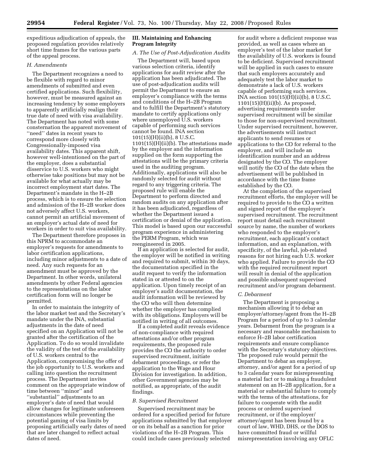expeditious adjudication of appeals, the proposed regulation provides relatively short time frames for the various parts of the appeal process.

## *H. Amendments*

The Department recognizes a need to be flexible with regard to minor amendments of submitted and even certified applications. Such flexibility, however, must be measured against an increasing tendency by some employers to apparently artificially realign their true date of need with visa availability. The Department has noted with some consternation the apparent movement of ''need'' dates in recent years to correspond more closely with Congressionally-imposed visa availability dates. This apparent shift, however well-intentioned on the part of the employer, does a substantial disservice to U.S. workers who might otherwise take positions but may not be available for what actually may be incorrect employment start dates. The Department's mandate in the H–2B process, which is to ensure the selection and admission of the H–2B worker does not adversely affect U.S. workers, cannot permit an artificial movement of an employer's actual date of need for workers in order to suit visa availability.

The Department therefore proposes in this NPRM to accommodate an employer's requests for amendments to labor certification applications, including minor adjustments to a date of need. Any such requests for an amendment must be approved by the Department. In other words, unilateral amendments by other Federal agencies to the representations on the labor certification form will no longer be permitted.

In order to maintain the integrity of the labor market test and the Secretary's mandate under the INA, substantial adjustments in the date of need specified on an Application will not be granted after the certification of the Application. To do so would invalidate the validity of the test of the availability of U.S. workers central to the Application, compromising the offer of the job opportunity to U.S. workers and calling into question the recruitment process. The Department invites comment on the appropriate window of time between ''minor'' and ''substantial'' adjustments to an employer's date of need that would allow changes for legitimate unforeseen circumstances while preventing the potential gaming of visa limits by proposing artificially early dates of need that are later changed to reflect actual dates of need.

## **III. Maintaining and Enhancing Program Integrity**

#### *A. The Use of Post-Adjudication Audits*

The Department will, based upon various selection criteria, identify applications for audit review after the application has been adjudicated. The use of post-adjudication audits will permit the Department to ensure an employer's compliance with the terms and conditions of the H–2B Program and to fulfill the Department's statutory mandate to certify applications only where unemployed U.S. workers capable of performing such services cannot be found. INA section 101(15)(H)(ii)(b), 8 U.S.C. 1101(15)(H)(ii)(b). The attestations made by the employer and the information supplied on the form supporting the attestations will be the primary criteria used in the auditing program. Additionally, applications will also be randomly selected for audit without regard to any triggering criteria. The proposed rule will enable the Department to perform directed and random audits on any application after it has been adjudicated, regardless of whether the Department issued a certification or denial of the application. This model is based upon our successful program experience in administering the PERM Program, which was reengineered in 2005.

If an application is selected for audit, the employer will be notified in writing and required to submit, within 30 days, the documentation specified in the audit request to verify the information stated in or attested to on the application. Upon timely receipt of an employer's audit documentation, the audit information will be reviewed by the CO who will then determine whether the employer has complied with its obligations. Employers will be notified in writing of all outcomes.

If a completed audit reveals evidence of non-compliance with required attestations and/or other program requirements, the proposed rule provides the CO the authority to order supervised recruitment, initiate debarment proceedings, or refer the application to the Wage and Hour Division for investigation. In addition, other Government agencies may be notified, as appropriate, of the audit findings.

#### *B. Supervised Recruitment*

Supervised recruitment may be ordered for a specified period for future applications submitted by that employer or on its behalf as a sanction for prior violations of the H–2B Program. This could include cases previously selected

for audit where a deficient response was provided, as well as cases where an employer's test of the labor market for the availability of U.S. workers is found to be deficient. Supervised recruitment will be applied in such cases to ensure that such employers accurately and adequately test the labor market to demonstrate a lack of U.S. workers capable of performing such services. INA section 101(15)(H)(ii)(b), 8 U.S.C. 1101(15)(H)(ii)(b). As proposed, advertising requirements under supervised recruitment will be similar to those for non-supervised recruitment. Under supervised recruitment, however, the advertisements will instruct applicants to send resumes or applications to the CO for referral to the employer, and will include an identification number and an address designated by the CO. The employer will notify the CO of the date when the advertisement will be published in accordance with the time frame established by the CO.

At the completion of the supervised recruitment efforts, the employer will be required to provide to the CO a written and signed report of the employer's supervised recruitment. The recruitment report must detail each recruitment source by name, the number of workers who responded to the employer's recruitment, each applicant's contact information, and an explanation, with specificity, of the lawful, job-related reasons for not hiring each U.S. worker who applied. Failure to provide the CO with the required recruitment report will result in denial of the application and possible subsequent supervised recruitment and/or program debarment.

## *C. Debarment*

The Department is proposing a mechanism allowing it to debar an employer/attorney/agent from the H–2B Program for a period of up to 3 calendar years. Debarment from the program is a necessary and reasonable mechanism to enforce H–2B labor certification requirements and ensure compliance with the Secretary's statutory objectives. The proposed rule would permit the Department to debar an employer, attorney, and/or agent for a period of up to 3 calendar years for misrepresenting a material fact or to making a fraudulent statement on an H–2B application, for a material or substantial failure to comply with the terms of the attestations, for failure to cooperate with the audit process or ordered supervised recruitment, or if the employer/ attorney/agent has been found by a court of law, WHD, DHS, or the DOS to have committed fraud or willful misrepresentation involving any OFLC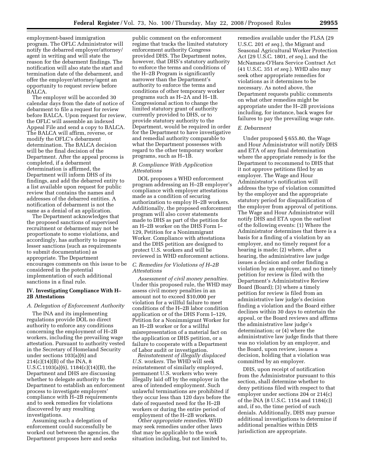employment-based immigration program. The OFLC Administrator will notify the debarred employer/attorney/ agent in writing and will state the reason for the debarment findings. The notification will also state the start and termination date of the debarment, and offer the employer/attorney/agent an opportunity to request review before BALCA.

The employer will be accorded 30 calendar days from the date of notice of debarment to file a request for review before BALCA. Upon request for review, the OFLC will assemble an indexed Appeal File and send a copy to BALCA. The BALCA will affirm, reverse, or modify the OFLC's debarment determination. The BALCA decision will be the final decision of the Department. After the appeal process is completed, if a debarment determination is affirmed, the Department will inform DHS of its findings, and add the debarred entity to a list available upon request for public review that contains the names and addresses of the debarred entities. A notification of debarment is not the same as a denial of an application.

The Department acknowledges that the proposed sanctions of supervised recruitment or debarment may not be proportionate to some violations, and accordingly, has authority to impose lesser sanctions (such as requirements to submit documentation) as appropriate. The Department encourages comments on this issue to be considered in the potential implementation of such additional sanctions in a final rule.

## **IV. Investigating Compliance With H– 2B Attestations**

#### *A. Delegation of Enforcement Authority*

The INA and its implementing regulations provide DOL no direct authority to enforce any conditions concerning the employment of H–2B workers, including the prevailing wage attestation. Pursuant to authority vested in the Secretary of Homeland Security under sections 103(a)(6) and 214(c)(14)(B) of the INA, 8 U.S.C.1103(a)(6), 1184(c)(14)(B), the Department and DHS are discussing whether to delegate authority to the Department to establish an enforcement process to investigate employers' compliance with H–2B requirements and to seek remedies for violations discovered by any resulting investigations.

Assuming such a delegation of enforcement could successfully be worked out between the agencies, the Department proposes here and seeks

public comment on the enforcement regime that tracks the limited statutory enforcement authority Congress provided DHS. The Department notes, however, that DHS's statutory authority to enforce the terms and conditions of the H–2B Program is significantly narrower than the Department's authority to enforce the terms and conditions of other temporary worker programs such as H–2A and H–1B. Congressional action to change the limited statutory grant of authority currently provided to DHS, or to provide statutory authority to the Department, would be required in order for the Department to have investigative and remedial authority comparable to what the Department possesses with regard to the other temporary worker programs, such as H–1B.

## *B. Compliance With Application Attestations*

DOL proposes a WHD enforcement program addressing an H–2B employer's compliance with employer attestations made as a condition of securing authorization to employ H–2B workers. Additionally, the proposed enforcement program will also cover statements made to DHS as part of the petition for an H–2B worker on the DHS Form I– 129, Petition for a Nonimmigrant Worker. Compliance with attestations and the DHS petition are designed to protect U.S. workers and will be reviewed in WHD enforcement actions.

## *C. Remedies for Violations of H–2B Attestations*

*Assessment of civil money penalties.*  Under this proposed rule, the WHD may assess civil money penalties in an amount not to exceed \$10,000 per violation for a willful failure to meet conditions of the H–2B labor condition application or of the DHS Form I–129, Petition for a Nonimmigrant Worker for an H–2B worker or for a willful misrepresentation of a material fact on the application or DHS petition, or a failure to cooperate with a Department of Labor audit or investigation.

*Reinstatement of illegally displaced U.S. workers.* The WHD will seek reinstatement of similarly employed, permanent U.S. workers who were illegally laid off by the employer in the area of intended employment. Such unlawful terminations are prohibited if they occur less than 120 days before the date of requested need for the H–2B workers or during the entire period of employment of the H–2B workers.

*Other appropriate remedies.* WHD may seek remedies under other laws that may be applicable to the work situation including, but not limited to, remedies available under the FLSA (29 U.S.C. 201 *et seq.*), the Migrant and Seasonal Agricultural Worker Protection Act (29 U.S.C. 1801, *et seq.*), and the McNamara-O'Hara Service Contract Act (41 U.S.C. 351 *et seq.*). WHD also may seek other appropriate remedies for violations as it determines to be necessary. As noted above, the Department requests public comments on what other remedies might be appropriate under the H–2B provisions including, for instance, back wages for failures to pay the prevailing wage rate.

#### *E. Debarment*

Under proposed § 655.80, the Wage and Hour Administrator will notify DHS and ETA of any final determination where the appropriate remedy is for the Department to recommend to DHS that it not approve petitions filed by an employer. The Wage and Hour Administrator's notification will address the type of violation committed by the employer and the appropriate statutory period for disqualification of the employer from approval of petitions. The Wage and Hour Administrator will notify DHS and ETA upon the earliest of the following events: (1) Where the Administrator determines that there is a basis for a finding of a violation by an employer, and no timely request for a hearing is made; (2) where, after a hearing, the administrative law judge issues a decision and order finding a violation by an employer, and no timely petition for review is filed with the Department's Administrative Review Board (Board); (3) where a timely petition for review is filed from an administrative law judge's decision finding a violation and the Board either declines within 30 days to entertain the appeal, or the Board reviews and affirms the administrative law judge's determination; or (4) where the administrative law judge finds that there was no violation by an employer, and the Board, upon review, issues a decision, holding that a violation was committed by an employer.

DHS, upon receipt of notification from the Administrator pursuant to this section, shall determine whether to deny petitions filed with respect to that employer under sections 204 or 214(c) of the INA (8 U.S.C. 1154 and 1184(c)) and, if so, the time period of such denials. Additionally, DHS may pursue additional investigations to determine if additional penalties within DHS jurisdiction are appropriate.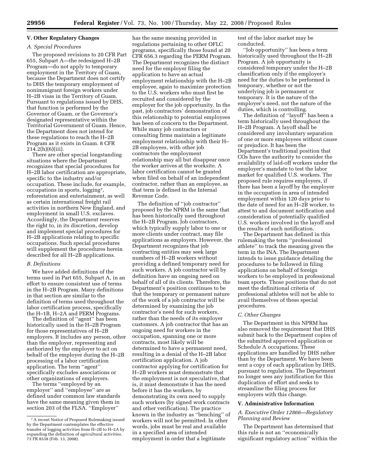## **V. Other Regulatory Changes**

## *A. Special Procedures*

The proposed revisions to 20 CFR Part 655, Subpart A—the redesigned H–2B Program—do not apply to temporary employment in the Territory of Guam, because the Department does not certify to DHS the temporary employment of nonimmigrant foreign workers under H–2B visas in the Territory of Guam. Pursuant to regulations issued by DHS, that function is performed by the Governor of Guam, or the Governor's designated representative within the Territorial Government of Guam. Hence, the Department does not intend for these regulations to reach the H–2B Program as it exists in Guam. 8 CFR  $214.2(h)(6)(iii)$ .

There are other special longstanding situations where the Department recognizes that special procedures for H–2B labor certification are appropriate, specific to the industry and/or occupation. These include, for example, occupations in sports, logging7, reforestation and entertainment, as well as certain international freight rail activities in northern New England, and employment in small U.S. exclaves. Accordingly, the Department reserves the right to, in its discretion, develop and implement special procedures for H–2B applications relating to specific occupations. Such special procedures will supplement the procedures herein described for all H–2B applications.

#### *B. Definitions*

We have added definitions of the terms used in Part 655, Subpart A, in an effort to ensure consistent use of terms in the H–2B Program. Many definitions in that section are similar to the definition of terms used throughout the labor certification process, specifically the H–1B, H–2A and PERM Programs.

The definition of ''agent'' has been historically used in the H–2B Program for those representatives of H–2B employers. It includes any person, other than the employer, representing and authorized by the employer to act on behalf of the employer during the H–2B processing of a labor certification application. The term ''agent'' specifically excludes associations or other organizations of employers.

The terms ''employed by an employer'' and ''employee'' are as defined under common law standards have the same meaning given them in section 203 of the FLSA. ''Employer''

has the same meaning provided in regulations pertaining to other OFLC programs, specifically those found at 20 CFR 656.3 regarding the PERM Program. The Department recognizes the distinct need for the employer filing the application to have an actual employment relationship with the H–2B employee, again to maximize protection to the U.S. workers who must first be recruited and considered by the employer for the job opportunity. In the past, job contractors' demonstration of this relationship to potential employees has been of concern to the Department. While many job contractors or consulting firms maintain a legitimate employment relationship with their H– 2B employees, with other job contractors the employment relationship may all but disappear once the worker arrives at the worksite. A labor certification cannot be granted when filed on behalf of an independent contractor, rather than an employee, as that term is defined in the Internal Revenue Code.

The definition of ''job contractor'' proposed by the NPRM is the same that has been historically used throughout the H–2B Program. Job contractors, which typically supply labor to one or more clients under contract, may file applications as employers. However, the Department recognizes that job contracting entities may seek large numbers of H–2B workers without providing a defined temporary need for such workers. A job contractor will by definition have an ongoing need on behalf of all of its clients. Therefore, the Department's position continues to be that the temporary or permanent nature of the work of a job contractor will be determined by examining the job contractor's need for such workers, rather than the needs of its employer customers. A job contractor that has an ongoing need for workers in the occupation, spanning one or more contracts, most likely will be determined to have a permanent need, resulting in a denial of the H–2B labor certification application. A job contractor applying for certification for H–2B workers must demonstrate that the employment is not speculative, that is, it must demonstrate it has the need before it has the workers, by demonstrating its own need to supply such workers (by signed work contracts and other verification). The practice known in the industry as ''benching'' of workers will not be permitted. In other words, jobs must be real and available in a specified area of intended employment in order that a legitimate

test of the labor market may be conducted.

''Job opportunity'' has been a term historically used throughout the H–2B Program. A job opportunity is considered temporary under the H–2B classification only if the employer's need for the duties to be performed is temporary, whether or not the underlying job is permanent or temporary. It is the nature of the employer's need, not the nature of the duties, which is controlling.

The definition of ''layoff'' has been a term historically used throughout the H–2B Program. A layoff shall be considered any involuntary separation of one or more employees without cause or prejudice. It has been the Department's traditional position that COs have the authority to consider the availability of laid-off workers under the employer's mandate to test the labor market for qualified U.S. workers. The proposed rule requires employers, if there has been a layoff by the employer in the occupation in area of intended employment within 120 days prior to the date of need for an H–2B worker, to attest to and document notification and consideration of potentially qualified U.S. workers involved in the layoff and the results of such notification.

The Department has defined in this rulemaking the term ''professional athlete'' to track the meaning given the term in the INA. The Department intends to issue guidance detailing the procedures to be followed in filing applications on behalf of foreign workers to be employed in professional team sports. Those positions that do not meet the definitional criteria of professional athletes will not be able to avail themselves of these special procedures.

#### *C. Other Changes*

The Department in this NPRM has also removed the requirement that DHS submit back to the Department copies of the submitted approved application or Schedule A occupations. These applications are handled by DHS rather than by the Department. We have been sent a copy of each application by DHS, pursuant to regulation. The Department no longer sees any justification for this duplication of effort and seeks to streamline the filing process for employers with this change.

#### **V. Administrative Information**

## *A. Executive Order 12866—Regulatory Planning and Review*

The Department has determined that this rule is not an ''economically significant regulatory action'' within the

<sup>7</sup>A recent Notice of Proposed Rulemaking issued by the Department contemplates the effective transfer of logging activities from H–2B to H–2A by expanding the definition of agricultural activities. 73 FR 8538 (Feb. 13, 2008).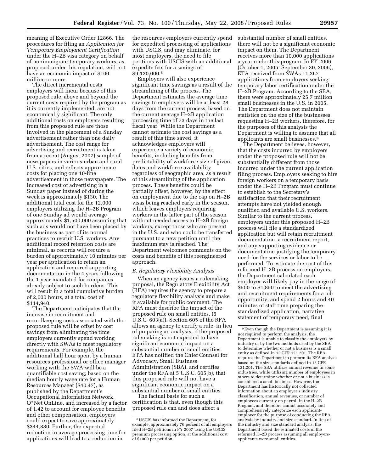meaning of Executive Order 12866. The procedures for filing an *Application for Temporary Employment Certification*  under the H–2B visa category on behalf of nonimmigrant temporary workers, as proposed under this regulation, will not have an economic impact of \$100 million or more.

The direct incremental costs employers will incur because of this proposed rule, above and beyond the current costs required by the program as it is currently implemented, are not economically significant. The only additional costs on employers resulting from this proposed rule are those involved in the placement of a Sunday advertisement rather than one daily advertisement. The cost range for advertising and recruitment is taken from a recent (August 2007) sample of newspapers in various urban and rural U.S. cities, and reflects approximate costs for placing one 10-line advertisement in those newspapers. The increased cost of advertising in a Sunday paper instead of during the week is approximately \$130. The additional total cost for the 12,000 employers utilizing the H–2B Program of one Sunday ad would average approximately \$1,500,000 assuming that such ads would not have been placed by the business as part of its normal practices to recruit U.S. workers. Any additional record retention costs are minimal, as records will require a burden of approximately 10 minutes per year per application to retain an application and required supporting documentation in the 4 years following the 1 year mandated for companies already subject to such burdens. This will result in a total cumulative burden of 2,000 hours, at a total cost of \$114,940.

The Department anticipates that the increase in recruitment and recordkeeping costs associated with the proposed rule will be offset by cost savings from eliminating the time employers currently spend working directly with SWAs to meet regulatory requirements. For example, the additional half hour spent by a human resources professional or office manager working with the SWA will be a quantifiable cost saving; based on the median hourly wage rate for a Human Resources Manager (\$40.47), as published by the Department's Occupational Information Network, O\*Net OnLine, and increased by a factor of 1.42 to account for employee benefits and other compensation, employers could expect to save approximately \$344,880. Further, the expected reduction in average processing time for applications will lead to a reduction in

the resources employers currently spend for expedited processing of applications with USCIS, and may eliminate, for most employers, the need to file petitions with USCIS with an additional expedite fee, for a savings of \$9,120,000.8

Employers will also experience significant time savings as a result of the streamlining of the process. The Department estimates the average time savings to employers will be at least 28 days from the current process, based on the current average H–2B application processing time of 73 days in the last fiscal year. While the Department cannot estimate the cost savings as a result of this time saved, it acknowledges employers will experience a variety of economic benefits, including benefits from predictability of workforce size of given dates and workforce availability regardless of geographic area, as a result of this streamlining of the application process. These benefits could be partially offset, however, by the effect on employment due to the cap on H–2B visas being reached early in the season, which leaves employers requiring workers in the latter part of the season without needed access to H–2B foreign workers, except those who are present in the U.S. and who could be transferred pursuant to a new petition until the maximum stay is reached. The Department welcomes comments on the costs and benefits of this reengineered approach.

#### *B. Regulatory Flexibility Analysis*

When an agency issues a rulemaking proposal, the Regulatory Flexibility Act (RFA) requires the agency to prepare a regulatory flexibility analysis and make it available for public comment. The RFA must describe the impact of the proposed rule on small entities. (5 U.S.C. 603(a)). Section 605 of the RFA allows an agency to certify a rule, in lieu of preparing an analysis, if the proposed rulemaking is not expected to have significant economic impact on a substantial number of small entities. ETA has notified the Chief Counsel for Advocacy, Small Business Administration (SBA), and certifies under the RFA at 5 U.S.C. 605(b), that this proposed rule will not have a significant economic impact on a substantial number of small entities.

The factual basis for such a certification is that, even though this proposed rule can and does affect a

substantial number of small entities, there will not be a significant economic impact on them. The Department receives more than 10,000 applications a year under this program. In FY 2006 (October 1, 2005–September 30, 2006), ETA received from SWAs 11,267 applications from employers seeking temporary labor certification under the H–2B Program. According to the SBA, there were approximately 25.7 million small businesses in the U.S. in 2005. The Department does not maintain statistics on the size of the businesses requesting H–2B workers, therefore, for the purposes of this analysis the Department is willing to assume that all applicants are small businesses.<sup>9</sup>

The Department believes, however, that the costs incurred by employers under the proposed rule will not be substantially different from those incurred under the current application filing process. Employers seeking to hire foreign workers on a temporary basis under the H–2B Program must continue to establish to the Secretary's satisfaction that their recruitment attempts have not yielded enough qualified and available U.S. workers. Similar to the current process, employers under this proposed H–2B process will file a standardized application but will retain recruitment documentation, a recruitment report, and any supporting evidence or documentation justifying the temporary need for the services or labor to be performed. To estimate the cost of this reformed H–2B process on employers, the Department calculated each employer will likely pay in the range of \$500 to \$1,850 to meet the advertising and recruitment requirements for a job opportunity, and spend 2 hours and 40 minutes of staff time preparing the standardized application, narrative statement of temporary need, final

<sup>8</sup>USCIS has informed the Department, for example, approximately 76 percent of all employers filed H–2B petitions in FY 2007 using the USCIS premium processing option, at the additional cost of \$1000 per petition.

<sup>9</sup>Even though the Department is assuming it is not required to perform the analysis, the Department is unable to classify the employers by industry or by the two methods used by the SBA to determine whether or not a business is a small entity as defined in 13 CFR 121.201. The RFA requires the Department to perform its RFA analysis based on the size standards defined in 13 CFR 121.201. The SBA utilizes annual revenue in some industries, while utilizing number of employees in others to determine whether or not a business is considered a small business. However, the Department has historically not collected information about an employer's industry classification, annual revenues, or number of employees currently on payroll in the H–2B Program, and therefore cannot accurately and comprehensively categorize each applicantemployer for the purpose of conducting the RFA analysis by industry and size standard. In lieu of the industry and size standard analysis, the Department based the estimated costs of the reformed H–2B process assuming all employersapplicants were small entities.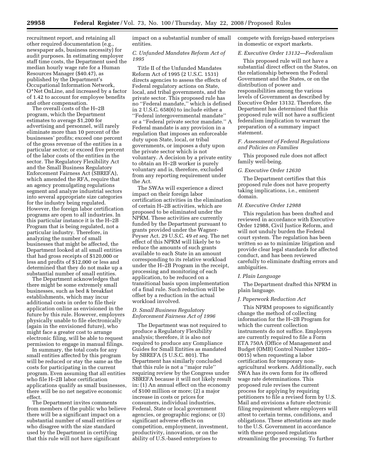recruitment report, and retaining all other required documentation (e.g., newspaper ads, business necessity) for audit purposes. In estimating employer staff time costs, the Department used the median hourly wage rate for a Human Resources Manager (\$40.47), as published by the Department's Occupational Information Network, O\*Net OnLine, and increased by a factor of 1.42 to account for employee benefits and other compensation.

The overall costs of the H–2B program, which the Department estimates to average \$1,200 for advertising and personnel, will rarely eliminate more than 10 percent of the businesses' profits; exceed one percent of the gross revenue of the entities in a particular sector; or exceed five percent of the labor costs of the entities in the sector. The Regulatory Flexibility Act and the Small Business Regulatory Enforcement Fairness Act (SBREFA), which amended the RFA, require that an agency promulgating regulations segment and analyze industrial sectors into several appropriate size categories for the industry being regulated. However, the foreign labor certification programs are open to all industries. In this particular instance it is the H–2B Program that is being regulated, not a particular industry. Therefore, in analyzing the number of small businesses that might be affected, the Department looked at all small entities that had gross receipts of \$120,000 or less and profits of \$12,000 or less and determined that they do not make up a substantial number of small entities.

The Department acknowledges that there might be some extremely small businesses, such as bed & breakfast establishments, which may incur additional costs in order to file their application online as envisioned in the future by this rule. However, employers physically unable to file electronically (again in the envisioned future), who might face a greater cost to arrange electronic filing, will be able to request permission to engage in manual filings.

In summary, the total costs for any small entities affected by this program will be reduced or stay the same as the costs for participating in the current program. Even assuming that all entities who file H–2B labor certification applications qualify as small businesses, there will be no net negative economic effect.

The Department invites comments from members of the public who believe there will be a significant impact on a substantial number of small entities or who disagree with the size standard used by the Department in certifying that this rule will not have significant

impact on a substantial number of small entities.

## *C. Unfunded Mandates Reform Act of 1995*

Title II of the Unfunded Mandates Reform Act of 1995 (2 U.S.C. 1531) directs agencies to assess the effects of Federal regulatory actions on State, local, and tribal governments, and the private sector. This proposed rule has no ''Federal mandate,'' which is defined in 2 U.S.C. 658(6) to include either a ''Federal intergovernmental mandate'' or a ''Federal private sector mandate.'' A Federal mandate is any provision in a regulation that imposes an enforceable duty upon State, local, or tribal governments, or imposes a duty upon the private sector which is not voluntary. A decision by a private entity to obtain an H–2B worker is purely voluntary and is, therefore, excluded from any reporting requirement under the Act.

The SWAs will experience a direct impact on their foreign labor certification activities in the elimination of certain H–2B activities, which are proposed to be eliminated under the NPRM. These activities are currently funded by the Department pursuant to grants provided under the Wagner-Peyser Act. 29 U.S.C. 49 *et seq.* The net effect of this NPRM will likely be to reduce the amounts of such grants available to each State in an amount corresponding to its relative workload under the H–2B Program in the receipt, processing and monitoring of each application, to be reduced on a transitional basis upon implementation of a final rule. Such reduction will be offset by a reduction in the actual workload involved.

## *D. Small Business Regulatory Enforcement Fairness Act of 1996*

The Department was not required to produce a Regulatory Flexibility analysis; therefore, it is also not required to produce any Compliance Guides for Small Entities as mandated by SBREFA (5 U.S.C. 801). The Department has similarly concluded that this rule is not a ''major rule'' requiring review by the Congress under SBREFA because it will not likely result in: (1) An annual effect on the economy of \$100 million or more; (2) a major increase in costs or prices for consumers, individual industries, Federal, State or local government agencies, or geographic regions; or (3) significant adverse effects on competition, employment, investment, productivity, innovation, or on the ability of U.S.-based enterprises to

compete with foreign-based enterprises in domestic or export markets.

## *E. Executive Order 13132—Federalism*

This proposed rule will not have a substantial direct effect on the States, on the relationship between the Federal Government and the States, or on the distribution of power and responsibilities among the various levels of Government as described by Executive Order 13132. Therefore, the Department has determined that this proposed rule will not have a sufficient federalism implication to warrant the preparation of a summary impact statement.

## *F. Assessment of Federal Regulations and Policies on Families*

This proposed rule does not affect family well-being.

#### *G. Executive Order 12630*

The Department certifies that this proposed rule does not have property taking implications, i.e., eminent domain.

#### *H. Executive Order 12988*

This regulation has been drafted and reviewed in accordance with Executive Order 12988, Civil Justice Reform, and will not unduly burden the Federal court system. The regulation has been written so as to minimize litigation and provide clear legal standards for affected conduct, and has been reviewed carefully to eliminate drafting errors and ambiguities.

#### *I. Plain Language*

The Department drafted this NPRM in plain language.

## *J. Paperwork Reduction Act*

This NPRM proposes to significantly change the method of collecting information for the H–2B Program for which the current collection instruments do not suffice. Employers are currently required to file a Form ETA 750A (Office of Management and Budget (OMB) Control Number 1205– 0015) when requesting a labor certification for temporary nonagricultural workers. Additionally, each SWA has its own form for its offered wage rate determinations. This proposed rule revises the current process for applying by requiring petitioners to file a revised form by U.S. Mail and envisions a future electronic filing requirement where employers will attest to certain terms, conditions, and obligations. These attestations are made to the U.S. Government in accordance with these proposed regulations streamlining the processing. To further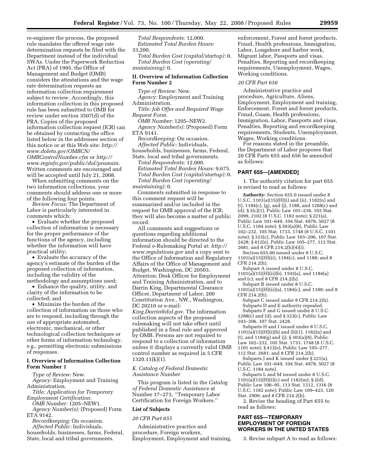re-engineer the process, the proposed rule mandates the offered wage rate determination requests be filed with the Department instead of the individual SWAs. Under the Paperwork Reduction Act (PRA) of 1995, the Office of Management and Budget (OMB) considers the attestations and the wage rate determination requests an information collection requirement subject to review. Accordingly, this information collection in this proposed rule has been submitted to OMB for review under section 3507(d) of the PRA. Copies of the proposed information collection request (ICR) can be obtained by contacting the office listed below in the addressee section of this notice or at this Web site: *http:// www.doleta.gov/OMBCN/ OMBControlNumber.cfm* or *http:// www.reginfo.gov/public/dol/pramain*. Written comments are encouraged and will be accepted until July 21, 2008.

When submitting comments on the two information collections, your comments should address one or more of the following four points.

*Review Focus:* The Department of Labor is particularly interested in comments which:

• Evaluate whether the proposed collection of information is necessary for the proper performance of the functions of the agency, including whether the information will have practical utility;

• Evaluate the accuracy of the agency's estimate of the burden of the proposed collection of information, including the validity of the methodology and assumptions used;

• Enhance the quality, utility, and clarity of the information to be collected; and

• Minimize the burden of the collection of information on those who are to respond, including through the use of appropriate automated, electronic, mechanical, or other technological collection techniques or other forms of information technology, e.g., permitting electronic submissions of responses.

## **I. Overview of Information Collection Form Number 1**

*Type of Review:* New.

*Agency:* Employment and Training Administration.

*Title: Application for Temporary Employment Certification.* 

*OMB Number:* 1205–NEW1.

*Agency Number(s):* (Proposed) Form ETA 9142.

*Recordkeeping:* On occasion. *Affected Public:* Individuals, households, businesses, farms, Federal, State, local and tribal governments.

*Total Respondents:* 12,000. *Estimated Total Burden Hours:*  33,200.

*Total Burden Cost (capital/startup):* 0. *Total Burden Cost (operating/ maintaining):* 0.

## **II. Overview of Information Collection Form Number 2**

*Type of Review:* New.

*Agency:* Employment and Training Administration.

*Title: Job Offer and Required Wage Request Form.* 

*OMB Number:* 1205–NEW2. *Agency Number(s):* (Proposed) Form ETA 9141.

*Recordkeeping:* On occasion. *Affected Public:* Individuals, households, businesses, farms, Federal, State, local and tribal governments.

*Total Respondents:* 12,000. *Estimated Total Burden Hours:* 9,675. *Total Burden Cost (capital/startup):* 0. *Total Burden Cost (operating/ maintaining):* 0.

Comments submitted in response to this comment request will be summarized and/or included in the request for OMB approval of the ICR; they will also become a matter of public record.

All comments and suggestions or questions regarding additional information should be directed to the Federal e-Rulemaking Portal at: *http:// www.regulations.gov* and a copy sent to the Office of Information and Regulatory Affairs of the Office of Management and Budget, Washington, DC 20503, Attention: Desk Officer for Employment and Training Administration, and to Darrin King, Departmental Clearance Officer, Department of Labor, 200 Constitution Ave., NW., Washington, DC 20210 or e-mail:

*King.Darrin@dol.gov*. The information collection aspects of the proposed rulemaking will not take effect until published in a final rule and approved by OMB. Persons are not required to respond to a collection of information unless it displays a currently valid OMB control number as required in 5 CFR 1320.11(k)(1).

*K. Catalog of Federal Domestic Assistance Number* 

This program is listed in the *Catalog of Federal Domestic Assistance* at Number 17–273, ''Temporary Labor Certification for Foreign Workers.''

#### **List of Subjects**

#### *20 CFR Part 655*

Administrative practice and procedure, Foreign workers, Employment, Employment and training,

enforcement, Forest and forest products, Fraud, Health professions, Immigration, Labor, Longshore and harbor work, Migrant labor, Passports and visas, Penalties, Reporting and recordkeeping requirements, Unemployment, Wages, Working conditions.

#### *20 CFR Part 656*

Administrative practice and procedure, Agriculture, Aliens, Employment, Employment and training, Enforcement, Forest and forest products, Fraud, Guam, Health professions, Immigration, Labor, Passports and visas, Penalties, Reporting and recordkeeping requirements, Students, Unemployment, Wages, Working conditions.

For reasons stated in the preamble, the Department of Labor proposes that 20 CFR Parts 655 and 656 be amended as follows:

## **PART 655—[AMENDED]**

1. The authority citation for part 655 is revised to read as follows:

**Authority:** Section 655.0 issued under 8 U.S.C. 1101(a)(15)(H)(i) and (ii), 1182(n) and (t), 1184(c), (g), and (j), 1188, and 1288(c) and (d); § 3(c)(1), Public Law 101–238, 103 Stat. 2099, 2102 (8 U.S.C. 1182 note); § 221(a), Public Law 101–649, 104 Stat. 4978, 5027 (8 U.S.C. 1184 note); § 303(a)(8), Public Law 102–232, 105 Stat. 1733, 1748 (8 U.S.C. 1101 note); § 323(c), Public Law 103–206, 107 Stat. 2428; § 412(e), Public Law 105–277, 112 Stat. 2681; and 8 CFR 214.2(h)(4)(i).

Section 655.00 issued under 8 U.S.C. 1101(a)(15)(H)(ii), 1184(c), and 1188; and 8 CFR 214.2(h).

Subpart A issued under 8 U.S.C.  $1101(a)(15)(H)(ii)(b)$ ,  $1103(a)$ , and  $1184(a)$ and (c); and 8 CFR 214.2(h).

Subpart B issued under 8 U.S.C.

1101(a)(15)(H)(ii)(a), 1184(c), and 1188; and 8 CFR 214.2(h).

Subpart C issued under 8 CFR 214.2(h). Subparts D and E authority repealed. Subparts F and G issued under 8 U.S.C. 1288(c) and (d); and § 323(c), Public Law 103–206, 107 Stat. 2428.

Subparts H and I issued under 8 U.S.C.  $1101(a)(15)(H)(i)(b)$  and  $(b)(1)$ ,  $1182(n)$  and (t), and 1184(g) and (j); § 303(a)(8), Public Law 102–232, 105 Stat. 1733, 1748 (8 U.S.C. 1101 note); § 412(e), Public Law 105–277, 112 Stat. 2681; and 8 CFR 214.2(h).

Subparts J and K issued under § 221(a), Public Law 101–649, 104 Stat. 4978, 5027 (8 U.S.C. 1184 note).

Subparts L and M issued under 8 U.S.C. 1101(a)(15)(H)(i)(c) and 1182(m); § 2(d), Public Law 106–95, 113 Stat. 1312, 1316 (8 U.S.C. 1182 note); Public Law 109–423, 120 Stat. 2900; and 8 CFR 214.2(h).

2. Revise the heading of Part 655 to read as follows:

## **PART 655—TEMPORARY EMPLOYMENT OF FOREIGN WORKERS IN THE UNITED STATES**

3. Revise subpart A to read as follows: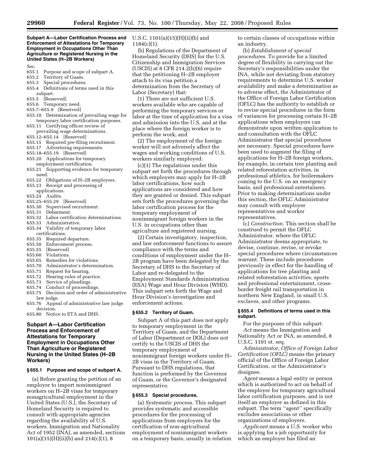#### **Subpart A—Labor Certification Process and Enforcement of Attestations for Temporary Employment in Occupations Other Than Agriculture or Registered Nursing in the United States (H–2B Workers)**

#### Sec.

- 655.1 Purpose and scope of subpart A.
- 655.2 Territory of Guam.
- Special procedures.
- 655.4 Definitions of terms used in this subpart.
- 655.5 [Reserved]
- 655.6 Temporary need.
- 655.7–655.9 [Reserved]
- 655.10 Determination of prevailing wage for temporary labor certification purposes.
- 655.11 Certifying officer review of prevailing wage determinations.
- 655.12–655.14 [Reserved]
- 655.15 Required pre-filing recruitment.
- 655.17 Advertising requirements.
- 655.18–655.19 [Reserved]
- 655.20 Applications for temporary employment certification.
- 655.21 Supporting evidence for temporary need.
- 655.22 Obligations of H-2B employers.<br>655.23 Receipt and processing of
- Receipt and processing of
- applications.
- 655.24 Audits.
- 655.25–655.29 [Reserved]
- 655.30 Supervised recruitment.<br>655.31 Debarment.
- 655.31 Debarment.<br>655.32 Labor certii
- 655.32 Labor certification determinations.
- 
- 655.33 Administrative. Validity of temporary labor
- certifications.<br>655.35 Required 655.35 Required departure.<br>655.50 Enforcement proces
- 655.50 Enforcement process.<br>655.55 [Reserved]
- 
- 655.55 [Reserved]<br>655.60 Violations. Violations.
- 
- 655.65 Remedies for violations.<br>655.70 Administrator's determin Administrator's determination.
- 655.71 Request for hearing.
- 655.72 Hearing rules of practice.<br>655.73 Service of pleadings.
- 655.73 Service of pleadings.
- 
- 655.74 Conduct of proceedings<br>655.75 Decision and order of ac Decision and order of administrative law judge.
- 655.76 Appeal of administrative law judge decision.
- 655.80 Notice to ETA and DHS.

## **Subpart A—Labor Certification Process and Enforcement of Attestations for Temporary Employment in Occupations Other Than Agriculture or Registered Nursing in the United States (H–2B Workers)**

#### **§ 655.1 Purpose and scope of subpart A.**

(a) Before granting the petition of an employer to import nonimmigrant workers on H–2B visas for temporary nonagricultural employment in the United States (U.S.), the Secretary of Homeland Security is required to consult with appropriate agencies regarding the availability of U.S. workers. Immigration and Nationality Act of 1952 (INA), as amended, sections 101(a)(15)(H)(ii)(b) and 214(c)(1), 8

U.S.C. 1101(a)(15)(H)(ii)(b) and 1184(c)(1).

(b) Regulations of the Department of Homeland Security (DHS) for the U.S. Citizenship and Immigration Services (USCIS) at 8 CFR 214.2 $(h)(6)$  require that the petitioning H–2B employer attach to its visa petition a determination from the Secretary of Labor (Secretary) that:

(1) There are not sufficient U.S. workers available who are capable of performing the temporary services or labor at the time of application for a visa and admission into the U.S. and at the place where the foreign worker is to perform the work; and

(2) The employment of the foreign worker will not adversely affect the wages and working conditions of U.S. workers similarly employed.

(c)(1) The regulations under this subpart set forth the procedures through which employers may apply for H–2B labor certifications, how such applications are considered and how they are granted or denied. This subpart sets forth the procedures governing the labor certification process for the temporary employment of nonimmigrant foreign workers in the U.S. in occupations other than agriculture and registered nursing.

(2) Certain investigatory, inspection, and law enforcement functions to assure compliance with the terms and conditions of employment under the H– 2B program have been delegated by the Secretary of DHS to the Secretary of Labor and re-delegated to the Employment Standards Administration (ESA) Wage and Hour Division (WHD). This subpart sets forth the Wage and Hour Division's investigation and enforcement actions.

#### **§ 655.2 Territory of Guam.**

Subpart A of this part does not apply to temporary employment in the Territory of Guam, and the Department of Labor (Department or DOL) does not certify to the USCIS of DHS the temporary employment of nonimmigrant foreign workers under H– 2B visas in the Territory of Guam. Pursuant to DHS regulations, that function is performed by the Governor of Guam, or the Governor's designated representative.

#### **§ 655.3 Special procedures.**

(a) *Systematic process.* This subpart provides systematic and accessible procedures for the processing of applications from employers for the certification of non-agricultural employment of nonimmigrant workers on a temporary basis, usually in relation to certain classes of occupations within an industry.

(b) *Establishment of special procedures.* To provide for a limited degree of flexibility in carrying out the Secretary's responsibilities under the INA, while not deviating from statutory requirements to determine U.S. worker availability and make a determination as to adverse effect, the Administrator of the Office of Foreign Labor Certification (OFLC) has the authority to establish or to revise special procedures in the form of variances for processing certain H–2B applications when employers can demonstrate upon written application to and consultation with the OFLC Administrator that special procedures are necessary. Special procedures have been used to augment the filing of applications for H–2B foreign workers, for example, in certain tree planting and related reforestation activities, in professional athletics, for boilermakers coming to the U.S. on an emergency basis, and professional entertainers. Prior to making determinations under this section, the OFLC Administrator may consult with employer representatives and worker representatives.

(c) *Construction.* This section shall be construed to permit the OFLC Administrator, where the OFLC Administrator deems appropriate, to devise, continue, revise, or revoke special procedures where circumstances warrant. These include procedures previously in effect for the handling of applications for tree planting and related reforestation activities, sports and professional entertainment, crossborder freight rail transportation in northern New England, in small U.S. exclaves, and other programs.

#### **§ 655.4 Definitions of terms used in this subpart.**

For the purposes of this subpart: *Act* means the Immigration and Nationality Act or INA, as amended, 8 U.S.C. 1101 et. seq.

*Administrator, Office of Foreign Labor Certification (OFLC)* means the primary official of the Office of Foreign Labor Certification, or the Administrator's designee.

*Agent* means a legal entity or person which is authorized to act on behalf of the employer for temporary agricultural labor certification purposes, and is not itself an employer as defined in this subpart. The term ''agent'' specifically excludes associations or other organizations of employers.

*Applicant* means a U.S. worker who is applying for a job opportunity for which an employer has filed an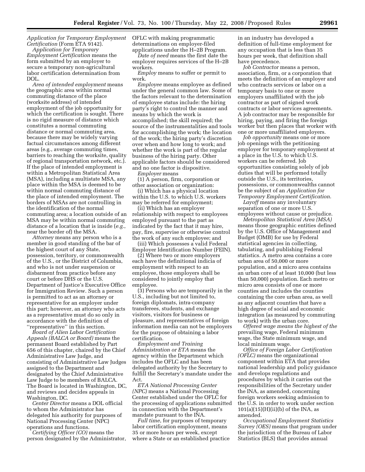## *Application for Temporary Employment Certification* (Form ETA 9142).

*Application for Temporary Employment Certification* means the form submitted by an employer to secure a temporary non-agricultural labor certification determination from DOL.

*Area of intended employment* means the geographic area within normal commuting distance of the place (worksite address) of intended employment of the job opportunity for which the certification is sought. There is no rigid measure of distance which constitutes a normal commuting distance or normal commuting area, because there may be widely varying factual circumstances among different areas (e.g., average commuting times, barriers to reaching the worksite, quality of regional transportation network, etc.). If the place of intended employment is within a Metropolitan Statistical Area (MSA), including a multistate MSA, any place within the MSA is deemed to be within normal commuting distance of the place of intended employment. The borders of MSAs are not controlling in the identification of the normal commuting area; a location outside of an MSA may be within normal commuting distance of a location that is inside (*e.g.*, near the border of) the MSA.

*Attorney* means any person who is a member in good standing of the bar of the highest court of any State, possession, territory, or commonwealth of the U.S., or the District of Columbia, and who is not under suspension or disbarment from practice before any court or before DHS or the U.S. Department of Justice's Executive Office for Immigration Review. Such a person is permitted to act as an attorney or representative for an employer under this part; however, an attorney who acts as a representative must do so only in accordance with the definition of ''representative'' in this section.

*Board of Alien Labor Certification Appeals (BALCA or Board)* means the permanent Board established by Part 656 of this chapter, chaired by the Chief Administrative Law Judge, and consisting of Administrative Law Judges assigned to the Department and designated by the Chief Administrative Law Judge to be members of BALCA. The Board is located in Washington, DC, and reviews and decides appeals in Washington, DC.

*Center Director* means a DOL official to whom the Administrator has delegated his authority for purposes of National Processing Center (NPC) operations and functions.

*Certifying Officer (CO)* means the person designated by the Administrator, OFLC with making programmatic determinations on employer-filed applications under the H–2B Program.

*Date of need* means the first date the employer requires services of the H–2B workers.

*Employ* means to suffer or permit to work.

*Employee* means employee as defined under the general common law. Some of the factors relevant to the determination of employee status include: the hiring party's right to control the manner and means by which the work is accomplished; the skill required; the source of the instrumentalities and tools for accomplishing the work; the location of the work; the hiring party's discretion over when and how long to work; and whether the work is part of the regular business of the hiring party. Other applicable factors should be considered and no one factor is dispositive.

*Employer* means

(1) A person, firm, corporation or other association or organization:

(i) Which has a physical location within the U.S. to which U.S. workers may be referred for employment;

(ii) Which has an employer relationship with respect to employees employed pursuant to the part as indicated by the fact that it may hire, pay, fire, supervise or otherwise control the work of any such employee; and

(iii) Which possesses a valid Federal Employer Identification Number (FEIN).

(2) Where two or more employers each have the definitional indicia of employment with respect to an employee, those employers shall be considered to jointly employ that employee.

(3) Persons who are temporarily in the U.S., including but not limited to, foreign diplomats, intra-company transferees, students, and exchange visitors, visitors for business or pleasure, and representatives of foreign information media can not be employers for the purpose of obtaining a labor certification.

*Employment and Training Administration or ETA* means the agency within the Department which includes the OFLC and has been delegated authority by the Secretary to fulfill the Secretary's mandate under the Act.

*ETA National Processing Center (NPC)* means a National Processing Center established under the OFLC for the processing of applications submitted in connection with the Department's mandate pursuant to the INA.

*Full time*, for purposes of temporary labor certification employment, means 35 or more hours per week, except where a State or an established practice in an industry has developed a definition of full-time employment for any occupation that is less than 35 hours per week, that definition shall have precedence.

*Job Contractor* means a person, association, firm, or a corporation that meets the definition of an employer and who contracts services or labor on a temporary basis to one or more employers unaffiliated with the job contractor as part of signed work contracts or labor services agreements. A job contractor may be responsible for hiring, paying, and firing the foreign worker but then places that worker with one or more unaffiliated employers.

*Job opportunity* means one or more job openings with the petitioning employer for temporary employment at a place in the U.S. to which U.S. workers can be referred. Job opportunities consisting solely of job duties that will be performed totally outside the U.S., its territories, possessions, or commonwealths cannot be the subject of an *Application for Temporary Employment Certification*.

*Layoff* means any involuntary separation of one or more U.S. employees without cause or prejudice.

*Metropolitan Statistical Area (MSA)*  means those geographic entities defined by the U.S. Office of Management and Budget (OMB) for use by Federal statistical agencies in collecting, tabulating, and publishing Federal statistics. A metro area contains a core urban area of 50,000 or more population, and a micro area contains an urban core of at least 10,000 (but less than 50,000) population. Each metro or micro area consists of one or more counties and includes the counties containing the core urban area, as well as any adjacent counties that have a high degree of social and economic integration (as measured by commuting to work) with the urban core.

*Offered wage means the highest of the*  prevailing wage, Federal minimum wage, the State minimum wage, and local minimum wage.

*Office of Foreign Labor Certification (OFLC)* means the organizational component within ETA that provides national leadership and policy guidance and develops regulations and procedures by which it carries out the responsibilities of the Secretary under the INA, as amended, concerning foreign workers seeking admission to the U.S. in order to work under section  $101(a)(15)(H)(ii)(b)$  of the INA, as amended.

*Occupational Employment Statistics Survey (OES)* means that program under the jurisdiction of the Bureau of Labor Statistics (BLS) that provides annual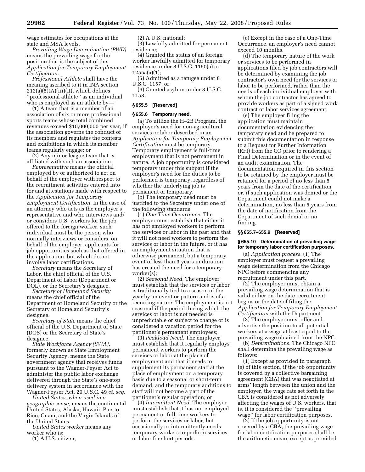wage estimates for occupations at the state and MSA levels.

*Prevailing Wage Determination (PWD)*  means the prevailing wage for the position that is the subject of the *Application for Temporary Employment Certification.* 

*Professional Athlete* shall have the meaning ascribed to it in INA section  $212(a)(5)(A)(iii)(II)$ , which defines ''professional athlete'' as an individual who is employed as an athlete by—

(1) A team that is a member of an association of six or more professional sports teams whose total combined revenues exceed \$10,000,000 per year, if the association governs the conduct of its members and regulates the contests and exhibitions in which its member teams regularly engage; or

(2) Any minor league team that is affiliated with such an association.

*Representative* means the official employed by or authorized to act on behalf of the employer with respect to the recruitment activities entered into for and attestations made with respect to the *Application for Temporary Employment Certification*. In the case of an attorney who acts as the employer's representative and who interviews and/ or considers U.S. workers for the job offered to the foreign worker, such individual must be the person who normally interviews or considers, on behalf of the employer, applicants for job opportunities such as that offered in the application, but which do not involve labor certifications.

*Secretary* means the Secretary of Labor, the chief official of the U.S. Department of Labor (Department or DOL), or the Secretary's designee.

*Secretary of Homeland Security*  means the chief official of the Department of Homeland Security or the Secretary of Homeland Security's designee.

*Secretary of State* means the chief official of the U.S. Department of State (DOS) or the Secretary of State's designee.

*State Workforce Agency (SWA)*, formerly known as State Employment Security Agency, means the State government agency that receives funds pursuant to the Wagner-Peyser Act to administer the public labor exchange delivered through the State's one-stop delivery system in accordance with the Wagner-Peyser Act. 29 U.S.C. 49 *et. seq.* 

*United States, when used in a geographic sense,* means the continental United States, Alaska, Hawaii, Puerto Rico, Guam, and the Virgin Islands of the United States.

*United States worker* means any worker who is:

(1) A U.S. citizen;

(2) A U.S. national;

(3) Lawfully admitted for permanent residence;

(4) Granted the status of an foreign worker lawfully admitted for temporary residence under 8 U.S.C. 1160(a) or 1255a(a)(1);

(5) Admitted as a refugee under 8 U.S.C. 1157; or

(6) Granted asylum under 8 U.S.C. 1158.

## **§ 655.5 [Reserved]**

#### **§ 655.6 Temporary need.**

(a) To utilize the H–2B Program, the employer's need for non-agricultural services or labor described in an *Application for Temporary Employment Certification* must be temporary. Temporary employment is full-time employment that is not permanent in nature. A job opportunity is considered temporary under this subpart if the employer's need for the duties to be performed is temporary, regardless of whether the underlying job is permanent or temporary.

(b) The temporary need must be justified to the Secretary under one of the following standards:

(1) *One-Time Occurrence.* The employer must establish that either it has not employed workers to perform the services or labor in the past and that it will not need workers to perform the services or labor in the future, or it has an employment situation that is otherwise permanent, but a temporary event of less than 3 years in duration has created the need for a temporary worker(s);

(2) *Seasonal Need.* The employer must establish that the services or labor is traditionally tied to a season of the year by an event or pattern and is of a recurring nature. The employment is not seasonal if the period during which the services or labor is not needed is unpredictable or subject to change or is considered a vacation period for the petitioner's permanent employees;

(3) *Peakload Need.* The employer must establish that it regularly employs permanent workers to perform the services or labor at the place of employment and that it needs to supplement its permanent staff at the place of employment on a temporary basis due to a seasonal or short-term demand, and the temporary additions to staff will not become a part of the petitioner's regular operation; or

(4) *Intermittent Need.* The employer must establish that it has not employed permanent or full-time workers to perform the services or labor, but occasionally or intermittently needs temporary workers to perform services or labor for short periods.

(c) Except in the case of a One-Time Occurrence, an employer's need cannot exceed 10 months.

(d) The temporary nature of the work or services to be performed in applications filed by job contractors will be determined by examining the job contractor's own need for the services or labor to be performed, rather than the needs of each individual employer with whom the job contractor has agreed to provide workers as part of a signed work contract or labor services agreement.

(e) The employer filing the application must maintain documentation evidencing the temporary need and be prepared to submit this documentation in response to a Request for Further Information (RFI) from the CO prior to rendering a Final Determination or in the event of an audit examination. The documentation required in this section to be retained by the employer must be retained for a period of no less than 5 years from the date of the certification or, if such application was denied or the Department could not make a determination, no less than 5 years from the date of notification from the Department of such denial or no finding.

#### **§§ 655.7–655.9 [Reserved]**

#### **§ 655.10 Determination of prevailing wage for temporary labor certification purposes.**

(a) *Application process.* (1) The employer must request a prevailing wage determination from the Chicago NPC before commencing any recruitment under this part.

(2) The employer must obtain a prevailing wage determination that is valid either on the date recruitment begins or the date of filing the *Application for Temporary Employment Certification* with the Department.

(3) The employer must offer and advertise the position to all potential workers at a wage at least equal to the prevailing wage obtained from the NPC.

(b) *Determinations.* The Chicago NPC shall determine the prevailing wage as follows:

(1) Except as provided in paragraph (e) of this section, if the job opportunity is covered by a collective bargaining agreement (CBA) that was negotiated at arms' length between the union and the employer, the wage rate set forth in the CBA is considered as not adversely affecting the wages of U.S. workers, that is, it is considered the ''prevailing wage'' for labor certification purposes.

(2) If the job opportunity is not covered by a CBA, the prevailing wage for labor certification purposes shall be the arithmetic mean, except as provided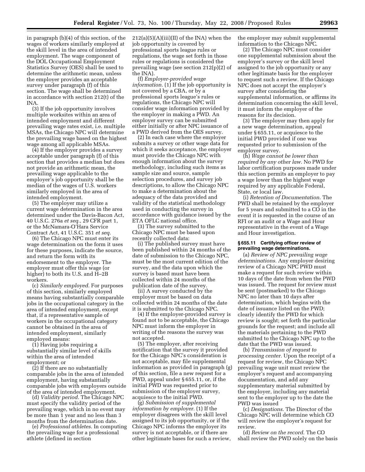in paragraph (b)(4) of this section, of the wages of workers similarly employed at the skill level in the area of intended employment. The wage component of the DOL Occupational Employment Statistics Survey (OES) shall be used to determine the arithmetic mean, unless the employer provides an acceptable survey under paragraph (f) of this section. The wage shall be determined in accordance with section 212(t) of the INA.

(3) If the job opportunity involves multiple worksites within an area of intended employment and different prevailing wage rates exist, i.e. multiple MSAs, the Chicago NPC will determine the prevailing wage based on the highest wage among all applicable MSAs.

(4) If the employer provides a survey acceptable under paragraph (f) of this section that provides a median but does not provide an arithmetic mean, the prevailing wage applicable to the employer's job opportunity shall be the median of the wages of U.S. workers similarly employed in the area of intended employment.

(5) The employer may utilize a current wage determination in the area determined under the Davis-Bacon Act, 40 U.S.C. 276a *et seq.*, 29 CFR part 1, or the McNamara-O'Hara Service Contract Act, 41 U.S.C. 351 *et seq.* 

(6) The Chicago NPC must enter its wage determination on the form it uses for these purposes, indicate the source, and return the form with its endorsement to the employer. The employer must offer this wage (or higher) to both its U.S. and H–2B workers.

(c) *Similarly employed.* For purposes of this section, similarly employed means having substantially comparable jobs in the occupational category in the area of intended employment, except that, if a representative sample of workers in the occupational category cannot be obtained in the area of intended employment, similarly employed means:

(1) Having jobs requiring a substantially similar level of skills within the area of intended employment; or

(2) If there are no substantially comparable jobs in the area of intended employment, having substantially comparable jobs with employers outside of the area of intended employment.

(d) *Validity period.* The Chicago NPC must specify the validity period of the prevailing wage, which in no event may be more than 1 year and no less than 3 months from the determination date.

(e) *Professional athletes.* In computing the prevailing wage for a professional athlete (defined in section

 $212(a)(5)(A)(iii)(II)$  of the INA) when the job opportunity is covered by professional sports league rules or regulations, the wage set forth in those rules or regulations is considered the prevailing wage (see section 212(p)(2) of the INA).

(f) *Employer-provided wage information.* (1) If the job opportunity is not covered by a CBA, or by a professional sports league's rules or regulations, the Chicago NPC will consider wage information provided by the employer in making a PWD. An employer survey can be submitted either initially or after NPC issuance of a PWD derived from the OES survey.

(2) In each case where the employer submits a survey or other wage data for which it seeks acceptance, the employer must provide the Chicago NPC with enough information about the survey methodology, including such items as sample size and source, sample selection procedures, and survey job descriptions, to allow the Chicago NPC to make a determination about the adequacy of the data provided and validity of the statistical methodology used in conducting the survey in accordance with guidance issued by the ETA OFLC national office.

(3) The survey submitted to the Chicago NPC must be based upon recently collected data:

(i) The published survey must have been published within 24 months of the date of submission to the Chicago NPC, must be the most current edition of the survey, and the data upon which the survey is based must have been collected within 24 months of the publication date of the survey.

(ii) A survey conducted by the employer must be based on data collected within 24 months of the date it is submitted to the Chicago NPC.

(4) If the employer-provided survey is found not to be acceptable, the Chicago NPC must inform the employer in writing of the reasons the survey was not accepted.

(5) The employer, after receiving notification that the survey it provided for the Chicago NPC's consideration is not acceptable, may file supplemental information as provided in paragraph (g) of this section, file a new request for a PWD, appeal under § 655.11, or, if the initial PWD was requested prior to submission of the employer survey, acquiesce to the initial PWD.

(g) *Submission of supplemental information by employer.* (1) If the employer disagrees with the skill level assigned to its job opportunity, or if the Chicago NPC informs the employer its survey is not acceptable, or if there are other legitimate bases for such a review, the employer may submit supplemental information to the Chicago NPC.

(2) The Chicago NPC must consider one supplemental submission about the employer's survey or the skill level assigned to the job opportunity or any other legitimate basis for the employer to request such a review. If the Chicago NPC does not accept the employer's survey after considering the supplemental information, or affirms its determination concerning the skill level, it must inform the employer of the reasons for its decision.

(3) The employer may then apply for a new wage determination, appeal under § 655.11, or acquiesce to the initial PWD provided if one was requested prior to submission of the employer survey.

(h) *Wage cannot be lower than required by any other law.* No PWD for labor certification purposes made under this section permits an employer to pay a wage lower than the highest wage required by any applicable Federal, State, or local law.

(i) *Retention of Documentation.* The PWD shall be retained by the employer for 5 years and submitted to a CO in the event it is requested in the course of an RFI or an audit or a Wage and Hour representative in the event of a Wage and Hour investigation.

#### **§ 655.11 Certifying officer review of prevailing wage determinations.**

(a) *Review of NPC prevailing wage determinations.* Any employer desiring review of a Chicago NPC PWD must make a request for such review within 10 days of the date from when the PWD was issued. The request for review must be sent (postmarked) to the Chicago NPC no later than 10 days after determination, which begins with the date of issuance listed on the PWD; clearly identify the PWD for which review is sought; set forth the particular grounds for the request; and include all the materials pertaining to the PWD submitted to the Chicago NPC up to the date that the PWD was issued.

(b) *Transmission of request to processing center.* Upon the receipt of a request for review, the Chicago NPC prevailing wage unit must review the employer's request and accompanying documentation, and add any supplementary material submitted by the employer, including any material sent to the employer up to the date the PWD was issued

(c) *Designations.* The Director of the Chicago NPC will determine which CO will review the employer's request for review.

(d) *Review on the record.* The CO shall review the PWD solely on the basis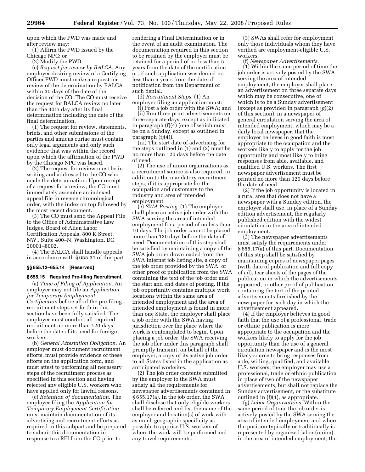upon which the PWD was made and after review may:

(1) Affirm the PWD issued by the Chicago NPC; or

(2) Modify the PWD.

(e) *Request for review by BALCA.* Any employer desiring review of a Certifying Officer PWD must make a request for review of the determination by BALCA within 30 days of the date of the decision of the CO. The CO must receive the request for BALCA review no later than the 30th day after its final determination including the date of the final determination.

(1) The request for review, statements, briefs, and other submissions of the parties and amicus curiae must contain only legal arguments and only such evidence that was within the record upon which the affirmation of the PWD by the Chicago NPC was based.

(2) The request for review must be in writing and addressed to the CO who made the determination. Upon receipt of a request for a review, the CO must immediately assemble an indexed appeal file in reverse chronological order, with the index on top followed by the most recent document.

(3) The CO must send the Appeal File to the Office of Administrative Law Judges, Board of Alien Labor Certification Appeals, 800 K Street, NW., Suite 400–N, Washington, DC 20001–8002.

(4) The BALCA shall handle appeals in accordance with § 655.31 of this part.

## **§§ 655.12–655.14 [Reserved]**

#### **§ 655.15 Required Pre-filing Recruitment.**

(a) *Time of Filing of Application.* An employer may not file an *Application for Temporary Employment Certification* before all of the pre-filing recruitment steps set forth in this section have been fully satisfied. The employer must conduct all required recruitment no more than 120 days before the date of its need for foreign workers.

(b) *General Attestation Obligation.* An employer must document recruitment efforts, must provide evidence of these efforts on the application form, and must attest to performing all necessary steps of the recruitment process as specified in this section and having rejected any eligible U.S. workers who have applied only for lawful reasons.

(c) *Retention of documentation.* The employer filing the *Application for Temporary Employment Certification*  must maintain documentation of its advertising and recruitment efforts as required in this subpart and be prepared to submit this documentation in response to a RFI from the CO prior to

rendering a Final Determination or in the event of an audit examination. The documentation required in this section to be retained by the employer must be retained for a period of no less than 5 years from the date of the certification or, if such application was denied no less than 5 years from the date of notification from the Department of such denial.

(d) *Recruitment Steps.* (1) An employer filing an application must:

(i) Post a job order with the SWA; and (ii) Run three print advertisements on three separate days, except as indicated in paragraph (f)(4) (one of which must be on a Sunday, except as outlined in paragraph (f)(4)).

(iii) The start date of advertising for the steps outlined in (1) and (2) must be no more than 120 days before the date of need.

(2) The use of union organizations as a recruitment source is also required, in addition to the mandatory recruitment steps, if it is appropriate for the occupation and customary to the industry and area of intended employment.

(e) *SWA Posting.* (1) The employer shall place an active job order with the SWA serving the area of intended employment for a period of no less than 10 days. The job order cannot be placed more than 120 days before the date of need. Documentation of this step shall be satisfied by maintaining a copy of the SWA job order downloaded from the SWA Internet job listing site, a copy of the job order provided by the SWA, or other proof of publication from the SWA containing the text of the job order and the start and end dates of posting. If the job opportunity contains multiple work locations within the same area of intended employment and the area of intended employment is found in more than one State, the employer shall place a job order with the SWA having jurisdiction over the place where the work is contemplated to begin. Upon placing a job order, the SWA receiving the job offer under this paragraph shall promptly transmit, on behalf of the employer, a copy of its active job order to all States listed in the application as anticipated worksites.

(2) The job order contents submitted by the employer to the SWA must satisfy all the requirements for newspaper advertisements contained in § 655.17(a). In the job order, the SWA shall disclose that only eligible workers shall be referred and list the name of the employer and location(s) of work with as much geographic specificity as possible to apprise U.S. workers of where the work will be performed and any travel requirements.

(3) SWAs shall refer for employment only those individuals whom they have verified are employment-eligible U.S. workers.

(f) *Newspaper Advertisements.* 

(1) Within the same period of time the job order is actively posted by the SWA serving the area of intended employment, the employer shall place an advertisement on three separate days, which may be consecutive, one of which is to be a Sunday advertisement (except as provided in paragraph (g)(2) of this section), in a newspaper of general circulation serving the area of intended employment, which may be a daily local newspaper, that the employer believes in good faith is most appropriate to the occupation and the workers likely to apply for the job opportunity and most likely to bring responses from able, available, and qualified U.S. workers. The first newspaper advertisement must be printed no more than 120 days before the date of need.

(2) If the job opportunity is located in a rural area that does not have a newspaper with a Sunday edition, the employer shall use, in place of a Sunday edition advertisement, the regularly published edition with the widest circulation in the area of intended employment.

(3) The newspaper advertisements must satisfy the requirements under § 655.17(a) of this part. Documentation of this step shall be satisfied by maintaining copies of newspaper pages (with date of publication and full copy of ad), tear sheets of the pages of the publication in which the advertisements appeared, or other proof of publication containing the text of the printed advertisements furnished by the newspaper for each day in which the advertisement appeared.

(4) If the employer believes in good faith that the use of a professional, trade or ethnic publication is more appropriate to the occupation and the workers likely to apply for the job opportunity than the use of a general circulation newspaper and is the most likely source to bring responses from able, willing, qualified, and available U.S. workers, the employer may use a professional, trade or ethnic publication in place of two of the newspaper advertisements, but shall not replace the Sunday advertisement, or the substitute outlined in (f)(1), as appropriate.

(g) *Labor Organizations.* Within the same period of time the job order is actively posted by the SWA serving the area of intended employment and where the position typically or traditionally is represented by organized labor (union) in the area of intended employment, the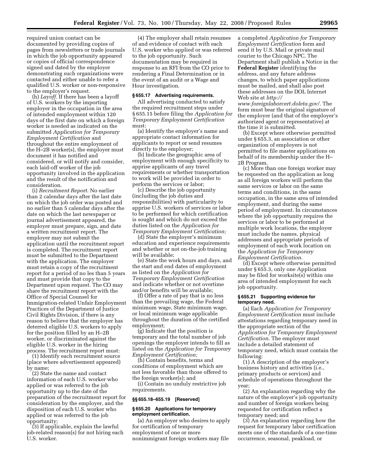required union contact can be documented by providing copies of pages from newsletters or trade journals in which the job opportunity appeared or copies of official correspondence signed and dated by the employer demonstrating such organizations were contacted and either unable to refer a qualified U.S. worker or non-responsive to the employer's request.

(h) *Layoff.* If there has been a layoff of U.S. workers by the importing employer in the occupation in the area of intended employment within 120 days of the first date on which a foreign worker is needed as indicated on the submitted *Application for Temporary Employment Certification* and throughout the entire employment of the H–2B worker(s), the employer must document it has notified and considered, or will notify and consider, each laid-off worker of the job opportunity involved in the application and the result of the notification and consideration.

(i) *Recruitment Report.* No earlier than 2 calendar days after the last date on which the job order was posted and no earlier than 5 calendar days after the date on which the last newspaper or journal advertisement appeared, the employer must prepare, sign, and date a written recruitment report. The employer may not submit the application until the recruitment report is completed. The recruitment report must be submitted to the Department with the application. The employer must retain a copy of the recruitment report for a period of no les than 5 years and must provide that copy to the Department upon request. The CO may share the recruitment report with the Office of Special Counsel for Immigration-related Unfair Employment Practices of the Department of Justice Civil Rights Division, if there is any reason to believe that the employer has deterred eligible U.S. workers to apply for the position filled by an H–2B worker, or discriminated against the eligible U.S. worker in the hiring process. The recruitment report must:

(1) Identify each recruitment source (place where advertisement appeared) by name;

(2) State the name and contact information of each U.S. worker who applied or was referred to the job opportunity up to the date of the preparation of the recruitment report for consideration by the employer, and the disposition of each U.S. worker who applied or was referred to the job opportunity;

(3) If applicable, explain the lawful job-related reason(s) for not hiring each U.S. worker.

(4) The employer shall retain resumes of and evidence of contact with each U.S. worker who applied or was referred to the job opportunity. Such documentation may be required in response to an RFI from the CO prior to rendering a Final Determination or in the event of an audit or a Wage and Hour investigation.

#### **§ 655.17 Advertising requirements.**

All advertising conducted to satisfy the required recruitment steps under § 655.15 before filing the *Application for Temporary Employment Certification*  must:

(a) Identify the employer's name and appropriate contact information for applicants to report or send resumes directly to the employer;

(b) Indicate the geographic area of employment with enough specificity to apprise applicants of any travel requirements or whether transportation to work will be provided in order to perform the services or labor;

(c) Describe the job opportunity (including the job duties and responsibilities) with particularity to apprise U.S. workers of services or labor to be performed for which certification is sought and which do not exceed the duties listed on the *Application for Temporary Employment Certification;* 

(d) State the employer's minimum education and experience requirements and whether or not on-the-job training will be available;

(e) State the work hours and days, and the start and end dates of employment as listed on the *Application for Temporary Employment Certification*  and indicate whether or not overtime and/or benefits will be available;

(f) Offer a rate of pay that is no less than the prevailing wage, the Federal minimum wage, State minimum wage, or local minimum wage applicable throughout the duration of the certified employment;

(g) Indicate that the position is temporary and the total number of job openings the employer intends to fill as listed on the *Application for Temporary Employment Certification;* 

(h) Contain benefits, terms and conditions of employment which are not less favorable than those offered to the foreign worker(s); and

(i) Contain no unduly restrictive job requirements.

#### **§§ 655.18–655.19 [Reserved]**

#### **§ 655.20 Applications for temporary employment certification.**

(a) An employer who desires to apply for certification of temporary employment of one or more nonimmigrant foreign workers may file

a completed *Application for Temporary Employment Certification* form and send it by U.S. Mail or private mail courier to the Chicago NPC. The Department shall publish a Notice in the **Federal Register** identifying the address, and any future address changes, to which paper applications must be mailed, and shall also post these addresses on the DOL Internet Web site at *http://* 

*www.foreignlaborcert.doleta.gov/.* The form must bear the original signature of the employer (and that of the employer's authorized agent or representative) at the time it is submitted.

(b) Except where otherwise permitted under § 655.3, an association or other organization of employers is not permitted to file master applications on behalf of its membership under the H– 2B Program.

(c) More than one foreign worker may be requested on the application as long as all foreign workers will perform the same services or labor on the same terms and conditions, in the same occupation, in the same area of intended employment, and during the same period of employment. In circumstances where the job opportunity requires the services or labor to be performed at multiple work locations, the employer must include the names, physical addresses and appropriate periods of employment of each work location on the *Application for Temporary Employment Certification.* 

(d) Except where otherwise permitted under § 655.3, only one Application may be filed for worksite(s) within one area of intended employment for each job opportunity.

#### **§ 655.21 Supporting evidence for temporary need.**

(a) Each *Application for Temporary Employment Certification* must include attestations regarding temporary need in the appropriate section of the *Application for Temporary Employment Certification.* The employer must include a detailed statement of temporary need, which must contain the following:

(1) A description of the employer's business history and activities (i.e., primary products or services) and schedule of operations throughout the year;

(2) An explanation regarding why the nature of the employer's job opportunity and number of foreign workers being requested for certification reflect a temporary need; and

(3) An explanation regarding how the request for temporary labor certification meets one of the standards of a one-time occurrence, seasonal, peakload, or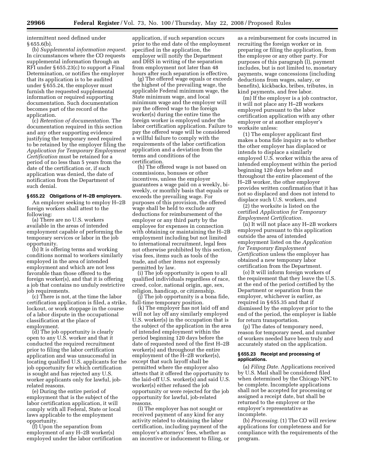intermittent need defined under § 655.6(b).

(b) *Supplemental information request.*  In circumstances where the CO requests supplemental information through an RFI under § 655.23(c) to support a Final Determination, or notifies the employer that its application is to be audited under § 655.24, the employer must furnish the requested supplemental information or required supporting documentation. Such documentation becomes part of the record of the application.

(c) *Retention of documentation.* The documentation required in this section and any other supporting evidence justifying the temporary need required to be retained by the employer filing the *Application for Temporary Employment Certification* must be retained for a period of no less than 5 years from the date of the certification or, if such application was denied, the date of notification from the Department of such denial.

#### **§ 655.22 Obligations of H–2B employers.**

An employer seeking to employ H–2B foreign workers shall attest to the following:

(a) There are no U.S. workers available in the areas of intended employment capable of performing the temporary services or labor in the job opportunity.

(b) It is offering terms and working conditions normal to workers similarly employed in the area of intended employment and which are not less favorable than those offered to the foreign worker(s), and that it is offering a job that contains no unduly restrictive job requirements.

(c) There is not, at the time the labor certification application is filed, a strike, lockout, or work stoppage in the course of a labor dispute in the occupational classification at the place of employment.

(d) The job opportunity is clearly open to any U.S. worker and that it conducted the required recruitment prior to filing the labor certification application and was unsuccessful in locating qualified U.S. applicants for the job opportunity for which certification is sought and has rejected any U.S. worker applicants only for lawful, jobrelated reasons.

(e) During the entire period of employment that is the subject of the labor certification application, it will comply with all Federal, State or local laws applicable to the employment opportunity.

(f) Upon the separation from employment of any H–2B worker(s) employed under the labor certification

application, if such separation occurs prior to the end date of the employment specified in the application, the employer will notify the Department and DHS in writing of the separation from employment not later than 48 hours after such separation is effective.

(g) The offered wage equals or exceeds the highest of the prevailing wage, the applicable Federal minimum wage, the State minimum wage, and local minimum wage and the employer will pay the offered wage to the foreign worker(s) during the entire time the foreign worker is employed under the labor certification application. Failure to pay the offered wage will be considered a willful failure to comply with the requirements of the labor certification application and a deviation from the terms and conditions of the certification.

(h) The offered wage is not based on commissions, bonuses or other incentives, unless the employer guarantees a wage paid on a weekly, biweekly, or monthly basis that equals or exceeds the prevailing wage. For purposes of this provision, the offered wage shall be held to exclude any deductions for reimbursement of the employer or any third party by the employee for expenses in connection with obtaining or maintaining the H–2B employment including but not limited to international recruitment, legal fees not otherwise prohibited by this section, visa fees, items such as tools of the trade, and other items not expressly permitted by law.

(i) The job opportunity is open to all qualified individuals regardless of race, creed, color, national origin, age, sex, religion, handicap, or citizenship.

(j) The job opportunity is a bona fide, full-time temporary position.

(k) The employer has not laid off and will not lay off any similarly employed U.S. worker(s) in the occupation that is the subject of the application in the area of intended employment within the period beginning 120 days before the date of requested need of the first H–2B worker(s) and throughout the entire employment of the H–2B worker(s), except that such layoff shall be permitted where the employer also attests that it offered the opportunity to the laid-off U.S. worker(s) and said U.S. worker(s) either refused the job opportunity or were rejected for the job opportunity for lawful, job-related reasons.

(l) The employer has not sought or received payment of any kind for any activity related to obtaining the labor certification, including payment of the employer's attorneys' fees, whether as an incentive or inducement to filing, or

as a reimbursement for costs incurred in recruiting the foreign worker or in preparing or filing the application, from the employee or any other party. For purposes of this paragraph (l), payment includes, but is not limited to, monetary payments, wage concessions (including deductions from wages, salary, or benefits), kickbacks, bribes, tributes, in kind payments, and free labor.

(m) If the employer is a job contractor, it will not place any H–2B workers employed pursuant to the labor certification application with any other employer or at another employer's worksite unless:

(1) The employer applicant first makes a bona fide inquiry as to whether the other employer has displaced or intends to displace a similarly employed U.S. worker within the area of intended employment within the period beginning 120 days before and throughout the entire placement of the H–2B worker, the other employer provides written confirmation that it has not so displaced and does not intend to displace such U.S. workers, and

(2) the worksite is listed on the certified *Application for Temporary Employment Certification.* 

(n) It will not place any H–2B workers employed pursuant to this application outside the area of intended employment listed on the *Application for Temporary Employment Certification* unless the employer has obtained a new temporary labor certification from the Department.

(o) It will inform foreign workers of the requirement that they leave the U.S. at the end of the period certified by the Department or separation from the employer, whichever is earlier, as required in § 655.35 and that if dismissed by the employer prior to the end of the period, the employer is liable for return transportation.

(p) The dates of temporary need, reason for temporary need, and number of workers needed have been truly and accurately stated on the application.

#### **§ 655.23 Receipt and processing of applications.**

(a) *Filing Date.* Applications received by U.S. Mail shall be considered filed when determined by the Chicago NPC to be complete. Incomplete applications shall not be accepted for processing or assigned a receipt date, but shall be returned to the employer or the employer's representative as incomplete.

(b) *Processing.* (1) The CO will review applications for completeness and for compliance with the requirements of the program.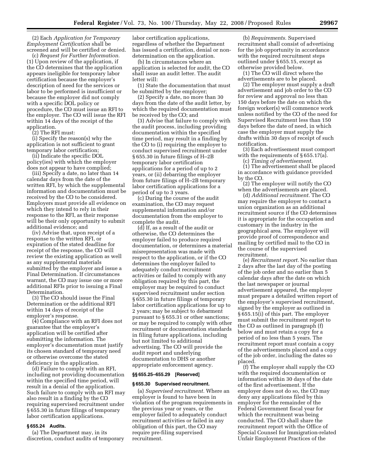(2) Each *Application for Temporary Employment Certification* shall be screened and will be certified or denied.

(c) *Request for Further Information.*  (1) Upon review of the application, if the CO determines that the application appears ineligible for temporary labor certification because the employer's description of need for the services or labor to be performed is insufficient or because the employer did not comply with a specific DOL policy or procedure, the CO must issue an RFI to the employer. The CO will issue the RFI within 14 days of the receipt of the application.

(2) The RFI must:

(i) Specify the reason(s) why the application is not sufficient to grant temporary labor certification;

(ii) Indicate the specific DOL policy(ies) with which the employer does not appear to have complied;

(iii) Specify a date, no later than 14 calendar days from the date of the written RFI, by which the supplemental information and documentation must be received by the CO to be considered. Employers must provide all evidence on which they intend to rely in their response to the RFI, as their response will be their only opportunity to submit additional evidence; and

(iv) Advise that, upon receipt of a response to the written RFI, or expiration of the stated deadline for receipt of the response, the CO will review the existing application as well as any supplemental materials submitted by the employer and issue a Final Determination. If circumstances warrant, the CO may issue one or more additional RFIs prior to issuing a Final Determination.

(3) The CO should issue the Final Determination or the additional RFI within 14 days of receipt of the employer's response.

(4) Compliance with an RFI does not guarantee that the employer's application will be certified after submitting the information. The employer's documentation must justify its chosen standard of temporary need or otherwise overcome the stated deficiency in the application.

(d) Failure to comply with an RFI, including not providing documentation within the specified time period, will result in a denial of the application. Such failure to comply with an RFI may also result in a finding by the CO requiring supervised recruitment under § 655.30 in future filings of temporary labor certification applications.

## **§ 655.24 Audits.**

(a) The Department may, in its discretion, conduct audits of temporary labor certification applications, regardless of whether the Department has issued a certification, denial or nondetermination on the application.

(b) In circumstances where an application is selected for audit, the CO shall issue an audit letter. The audit letter will:

(1) State the documentation that must be submitted by the employer;

(2) Specify a date, no more than 30 days from the date of the audit letter, by which the required documentation must be received by the CO; and

(3) Advise that failure to comply with the audit process, including providing documentation within the specified time period, may result in a finding by the CO to (i) requiring the employer to conduct supervised recruitment under § 655.30 in future filings of H–2B temporary labor certification applications for a period of up to 2 years, or (ii) debarring the employer from future filings of H–2B temporary labor certification applications for a period of up to 3 years.

(c) During the course of the audit examination, the CO may request supplemental information and/or documentation from the employer to complete the audit.

(d) If, as a result of the audit or otherwise, the CO determines the employer failed to produce required documentation, or determines a material misrepresentation was made with respect to the application, or if the CO determines the employer failed to adequately conduct recruitment activities or failed to comply with any obligation required by this part, the employer may be required to conduct supervised recruitment under section § 655.30 in future filings of temporary labor certification applications for up to 2 years; may be subject to debarment pursuant to § 655.31 or other sanctions; or may be required to comply with other recruitment or documentation standards in filing future applications, including but not limited to additional advertising. The CO will provide the audit report and underlying documentation to DHS or another appropriate enforcement agency.

## **§§ 655.25–655.29 [Reserved]**

#### **§ 655.30 Supervised recruitment.**

(a) *Supervised recruitment.* Where an employer is found to have been in violation of the program requirements in the previous year or years, or the employer failed to adequately conduct recruitment activities or failed in any obligation of this part, the CO may require pre-filing supervised recruitment.

(b) *Requirements.* Supervised recruitment shall consist of advertising for the job opportunity in accordance with the required recruitment steps outlined under § 655.15, except as otherwise provided below.

(1) The CO will direct where the advertisements are to be placed.

(2) The employer must supply a draft advertisement and job order to the CO for review and approval no less than 150 days before the date on which the foreign worker(s) will commence work unless notified by the CO of the need for Supervised Recruitment less than 150 days before the date of need, in which case the employer must supply the drafts within 30 days of receipt of such notification.

(3) Each advertisement must comport with the requirements of §655.17(a).

(c) *Timing of advertisement.* 

(1) The advertisement shall be placed in accordance with guidance provided by the CO.

(2) The employer will notify the CO when the advertisements are placed.

(d) *Additional recruitment.* The CO may require the employer to contact a union organization as an additional recruitment source if the CO determines it is appropriate for the occupation and customary in the industry in the geographical area. The employer will provide proof of correspondence and mailing by certified mail to the CO in the course of the supervised recruitment.

(e) *Recruitment report.* No earlier than 2 days after the last day of the posting of the job order and no earlier than 5 calendar days after the date on which the last newspaper or journal advertisement appeared, the employer must prepare a detailed written report of the employer's supervised recruitment, signed by the employer as outlined in § 655.15(i) of this part. The employer must submit the recruitment report to the CO as outlined in paragraph (f) below and must retain a copy for a period of no less than 5 years. The recruitment report must contain a copy of the advertisements placed and a copy of the job order, including the dates so placed.

(f) The employer shall supply the CO with the required documentation or information within 30 days of the date of the first advertisement. If the employer does not do so, the CO may deny any applications filed by this employer for the remainder of the Federal Government fiscal year for which the recruitment was being conducted. The CO shall share the recruitment report with the Office of Special Counsel for Immigration-related Unfair Employment Practices of the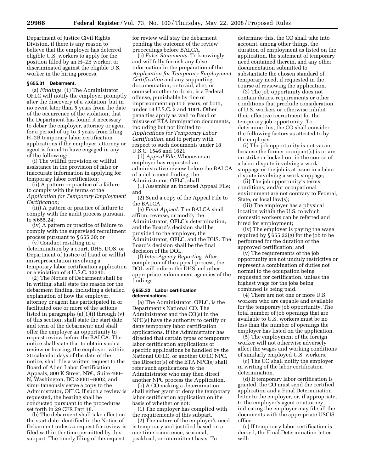Department of Justice Civil Rights Division, if there is any reason to believe that the employer has deterred eligible U.S. workers to apply for the position filled by an H–2B worker, or discriminated against the eligible U.S. worker in the hiring process.

## **§ 655.31 Debarment.**

(a) *Findings.* (1) The Administrator, OFLC will notify the employer promptly after the discovery of a violation, but in no event later than 5 years from the date of the occurrence of the violation, that the Department has found it necessary to debar the employer, attorney or agent for a period of up to 3 years from filing H–2B temporary labor certification applications if the employer, attorney or agent is found to have engaged in any of the following:

(i) The willful provision or willful assistance in the provision of false or inaccurate information in applying for temporary labor certification;

(ii) A pattern or practice of a failure to comply with the terms of the *Application for Temporary Employment Certification;* 

(iii) A pattern or practice of failure to comply with the audit process pursuant to § 655.24;

(iv) A pattern or practice of failure to comply with the supervised recruitment process pursuant to § 655.30; or

(v) Conduct resulting in a determination by a court, DHS, DOS, or Department of Justice of fraud or willful misrepresentation involving a temporary labor certification application or a violation of 8 U.S.C. 1324b.

(2) The Notice of Debarment shall be in writing; shall state the reason for the debarment finding, including a detailed explanation of how the employer, attorney or agent has participated in or facilitated one or more of the actions listed in paragraphs (a)(1)(i) through (v) of this section; shall state the start date and term of the debarment; and shall offer the employer an opportunity to request review before the BALCA. The notice shall state that to obtain such a review or hearing, the employer, within 30 calendar days of the date of the notice, shall file a written request to the Board of Alien Labor Certification Appeals, 800 K Street, NW., Suite 400– N, Washington, DC 20001–8002, and simultaneously serve a copy to the Administrator, OFLC. If such a review is requested, the hearing shall be conducted pursuant to the procedures set forth in 29 CFR Part 18.

(b) The debarment shall take effect on the start date identified in the Notice of Debarment unless a request for review is filed within the time permitted by this subpart. The timely filing of the request

for review will stay the debarment pending the outcome of the review proceedings before BALCA.

(c) *False Statements.* To knowingly and willfully furnish any false information in the preparation of the *Application for Temporary Employment Certification* and any supporting documentation, or to aid, abet, or counsel another to do so, is a Federal offense, punishable by fine or imprisonment up to 5 years, or both, under 18 U.S.C. 2 and 1001. Other penalties apply as well to fraud or misuse of ETA immigration documents, including but not limited to *Applications for Temporary Labor Certification,* and to perjury with respect to such documents under 18 U.S.C. 1546 and 1621.

(d) *Appeal File.* Whenever an employer has requested an administrative review before the BALCA of a debarment finding, the Administrator, OFLC, shall:

(1) Assemble an indexed Appeal File; and

(2) Send a copy of the Appeal File to the BALCA.

(e) *Final Appeal.* The BALCA shall affirm, reverse, or modify the Administrator, OFLC's determination, and the Board's decision shall be provided to the employer, the Administrator, OFLC, and the DHS. The Board's decision shall be the final decision of the DOL.

(f) *Inter-Agency Reporting.* After completion of the appeal process, the DOL will inform the DHS and other appropriate enforcement agencies of the findings.

#### **§ 655.32 Labor certification determinations.**

(a) The Administrator, OFLC, is the Department's National CO. The Administrator and the CO(s) in the NPC(s) have the authority to certify or deny temporary labor certification applications. If the Administrator has directed that certain types of temporary labor certification applications or specific applications be handled by the National OFLC, or another OFLC NPC, the Director(s) of the ETA NPC(s) shall refer such applications to the Administrator who may then direct another NPC process the Application.

(b) A CO making a determination shall either grant or deny the temporary labor certification application on the basis of whether or not:

(1) The employer has complied with the requirements of this subpart.

(2) The nature of the employer's need is temporary and justified based on a one-time occurrence, seasonal, peakload, or intermittent basis. To

determine this, the CO shall take into account, among other things, the duration of employment as listed on the application, the statement of temporary need contained therein, and any other documentation submitted to substantiate the chosen standard of temporary need, if requested in the course of reviewing the application.

(3) The job opportunity does not contain duties, requirements or other conditions that preclude consideration of U.S. workers or otherwise inhibit their effective recruitment for the temporary job opportunity. To determine this, the CO shall consider the following factors as attested to by the employer:

(i) The job opportunity is not vacant because the former occupant(s) is or are on strike or locked out in the course of a labor dispute involving a work stoppage or the job is at issue in a labor dispute involving a work stoppage;

(ii) The job opportunity's terms, conditions, and/or occupational environment are not contrary to Federal, State, or local law(s);

(iii) The employer has a physical location within the U.S. to which domestic workers can be referred and hired for employment;

(iv) The employer is paying the wage required by § 655.22(g) for the job to be performed for the duration of the approved certification; and

(v) The requirements of the job opportunity are not unduly restrictive or represent a combination of duties not normal to the occupation being requested for certification, unless the highest wage for the jobs being combined is being paid.

(4) There are not one or more U.S. workers who are capable and available for the temporary job opportunity. The total number of job openings that are available to U.S. workers must be no less than the number of openings the employer has listed on the application.

(5) The employment of the foreign worker will not otherwise adversely affect the wages and working conditions of similarly employed U.S. workers.

(c) The CO shall notify the employer in writing of the labor certification determination.

(d) If temporary labor certification is granted, the CO must send the certified application and a Final Determination letter to the employer, or, if appropriate, to the employer's agent or attorney, indicating the employer may file all the documents with the appropriate USCIS office.

(e) If temporary labor certification is denied, the Final Determination letter will: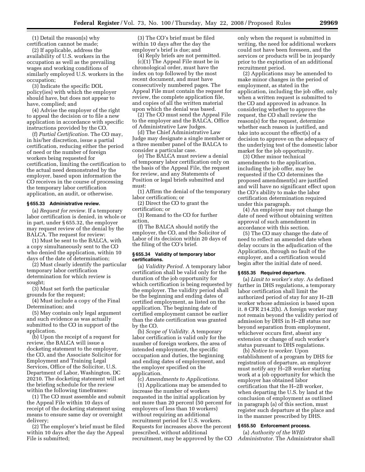(1) Detail the reason(s) why certification cannot be made;

(2) If applicable, address the availability of U.S. workers in the occupation as well as the prevailing wages and working conditions of similarly employed U.S. workers in the occupation;

(3) Indicate the specific DOL policy(ies) with which the employer should have, but does not appear to have, complied; and

(4) Advise the employer of the right to appeal the decision or to file a new application in accordance with specific instructions provided by the CO.

(f) *Partial Certification.* The CO may, in his/her discretion, issue a partial certification, reducing either the period of need or the number of foreign workers being requested for certification, limiting the certification to the actual need demonstrated by the employer, based upon information the CO receives in the course of processing the temporary labor certification application, an audit, or otherwise.

#### **§ 655.33 Administrative review.**

(a) *Request for review.* If a temporary labor certification is denied, in whole or in part, under § 655.32, the employer may request review of the denial by the BALCA. The request for review:

(1) Must be sent to the BALCA, with a copy simultaneously sent to the CO who denied the application, within 10 days of the date of determination;

(2) Must clearly identify the particular temporary labor certification determination for which review is sought;

(3) Must set forth the particular grounds for the request;

(4) Must include a copy of the Final Determination; and

(5) May contain only legal argument and such evidence as was actually submitted to the CO in support of the application.

(b) Upon the receipt of a request for review, the BALCA will issue a docketing statement to the employer, the CO, and the Associate Solicitor for Employment and Training Legal Services, Office of the Solicitor, U.S. Department of Labor, Washington, DC 20210. The docketing statement will set the briefing schedule for the review within the following timeframes:

(1) The CO must assemble and submit the Appeal File within 10 days of receipt of the docketing statement using means to ensure same day or overnight delivery;

(2) The employer's brief must be filed within 10 days after the day the Appeal File is submitted;

(3) The CO's brief must be filed within 10 days after the day the employer's brief is due; and

(4) Reply briefs are not permitted. (c)(1) The Appeal File must be in chronological order, must have the index on top followed by the most recent document, and must have consecutively numbered pages. The Appeal File must contain the request for review, the complete application file, and copies of all the written material upon which the denial was based.

(2) The CO must send the Appeal File to the employer and the BALCA, Office of Administrative Law Judges.

(d) The Chief Administrative Law Judge may designate a single member or a three member panel of the BALCA to consider a particular case.

(e) The BALCA must review a denial of temporary labor certification only on the basis of the Appeal File, the request for review, and any Statements of Position or legal briefs submitted and must:

(1) Affirm the denial of the temporary labor certification; or

(2) Direct the CO to grant the certification; or

(3) Remand to the CO for further action,

(f) The BALCA should notify the employer, the CO, and the Solicitor of Labor of its decision within 20 days of the filing of the CO's brief.

#### **§ 655.34 Validity of temporary labor certifications.**

(a) *Validity Period.* A temporary labor certification shall be valid only for the duration of the job opportunity for which certification is being requested by the employer. The validity period shall be the beginning and ending dates of certified employment, as listed on the application. The beginning date of certified employment cannot be earlier than the date certification was granted by the CO.

(b) *Scope of Validity.* A temporary labor certification is valid only for the number of foreign workers, the area of intended employment, the specific occupation and duties, the beginning and ending dates of employment, and the employer specified on the application.

(c) *Amendments to Applications.* 

(1) Applications may be amended to increase the number of workers requested in the initial application by not more than 20 percent (50 percent for employers of less than 10 workers) without requiring an additional recruitment period for U.S. workers. Requests for increases above the percent prescribed, without additional recruitment, may be approved by the CO

only when the request is submitted in writing, the need for additional workers could not have been foreseen, and the services or products will be in jeopardy prior to the expiration of an additional recruitment period.

(2) Applications may be amended to make minor changes in the period of employment, as stated in the application, including the job offer, only when a written request is submitted to the CO and approved in advance. In considering whether to approve the request, the CO shall review the reason(s) for the request, determine whether each reason is justified, and take into account the effect(s) of a decision to approve on the adequacy of the underlying test of the domestic labor market for the job opportunity.

(3) Other minor technical amendments to the application, including the job offer, may be requested if the CO determines the proposed amendment(s) are justified and will have no significant effect upon the CO's ability to make the labor certification determination required under this paragraph.

(4) An employer may not change the date of need without obtaining written approval of such amendment in accordance with this section.

(5) The CO may change the date of need to reflect an amended date when delay occurs in the adjudication of the Application, through no fault of the employer, and a certification would begin after the initial date of need.

## **§ 655.35 Required departure.**

(a) *Limit to worker's stay.* As defined further in DHS regulations, a temporary labor certification shall limit the authorized period of stay for any H–2B worker whose admission is based upon it. 8 CFR 214.2(h). A foreign worker may not remain beyond the validity period of admission by DHS in H–2B status nor beyond separation from employment, whichever occurs first, absent any extension or change of such worker's status pursuant to DHS regulations.

(b) *Notice to worker.* Upon establishment of a program by DHS for registration of departure, an employer must notify any H–2B worker starting work at a job opportunity for which the employer has obtained labor certification that the H–2B worker, when departing the U.S. by land at the conclusion of employment as outlined in paragraph (a) of this section, must register such departure at the place and in the manner prescribed by DHS.

## **§ 655.50 Enforcement process.**

(a) *Authority of the WHD Administrator.* The Administrator shall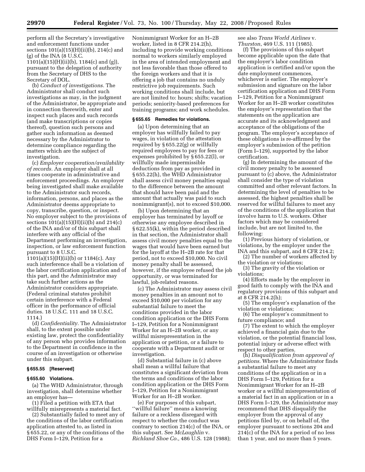perform all the Secretary's investigative and enforcement functions under sections 101(a)(15)(H)(ii)(b), 214(c) and (g) of the INA (8 U.S.C. 1101(a)(15)(H)(ii)(b), 1184(c) and (g)), pursuant to the delegation of authority from the Secretary of DHS to the Secretary of DOL.

(b) *Conduct of investigations.* The Administrator shall conduct such investigations as may, in the judgment of the Administrator, be appropriate and in connection therewith, enter and inspect such places and such records (and make transcriptions or copies thereof), question such persons and gather such information as deemed necessary by the Administrator to determine compliance regarding the matters which are the subject of investigation.

(c) *Employer cooperation/availability of records.* An employer shall at all times cooperate in administrative and enforcement proceedings. An employer being investigated shall make available to the Administrator such records, information, persons, and places as the Administrator deems appropriate to copy, transcribe, question, or inspect. No employer subject to the provisions of sections 101(a)(15)(H)(ii)(b) and 214(c) of the INA and/or of this subpart shall interfere with any official of the Department performing an investigation, inspection, or law enforcement function pursuant to 8 U.S.C.

1101(a)(15)(H)(ii)(b) or 1184(c). Any such interference shall be a violation of the labor certification application and of this part, and the Administrator may take such further actions as the Administrator considers appropriate. (Federal criminal statutes prohibit certain interference with a Federal officer in the performance of official duties. 18 U.S.C. 111 and 18 U.S.C. 1114.)

(d) *Confidentiality.* The Administrator shall, to the extent possible under existing law, protect the confidentiality of any person who provides information to the Department in confidence in the course of an investigation or otherwise under this subpart.

#### **§ 655.55 [Reserved]**

#### **§ 655.60 Violations.**

(a) The WHD Administrator, through investigation, shall determine whether an employer has—

(1) Filed a petition with ETA that willfully misrepresents a material fact.

(2) Substantially failed to meet any of the conditions of the labor certification application attested to, as listed in § 655.22, or any of the conditions of the DHS Form I–129, Petition for a

Nonimmigrant Worker for an H–2B worker, listed in 8 CFR 214.2(h), including to provide working conditions normal to workers similarly employed in the area of intended employment and not less favorable than those offered to the foreign workers and that it is offering a job that contains no unduly restrictive job requirements. Such working conditions shall include, but are not limited to: hours; shifts; vacation periods; seniority-based preferences for training programs; and work schedules.

#### **§ 655.65 Remedies for violations.**

(a) Upon determining that an employer has willfully failed to pay wages, in violation of the attestation required by § 655.22(g) or willfully required employees to pay for fees or expenses prohibited by § 655.22(l), or willfully made impermissible deductions from pay as provided in § 655.22(h), the WHD Administrator shall assess civil money penalties equal to the difference between the amount that should have been paid and the amount that actually was paid to such nonimmigrant(s), not to exceed \$10,000.

(b) Upon determining that an employer has terminated by layoff or otherwise any employee described in § 622.55(k), within the period described in that section, the Administrator shall assess civil money penalties equal to the wages that would have been earned but for the layoff at the H–2B rate for that period, not to exceed \$10,000. No civil money penalty shall be assessed, however, if the employee refused the job opportunity, or was terminated for lawful, job-related reasons.

(c) The Administrator may assess civil money penalties in an amount not to exceed \$10,000 per violation for any substantial failure to meet the conditions provided in the labor condition application or the DHS Form I–129, Petition for a Nonimmigrant Worker for an H–2B worker, or any willful misrepresentation in the application or petition, or a failure to cooperate with a Department audit or investigation.

(d) Substantial failure in (c) above shall mean a willful failure that constitutes a significant deviation from the terms and conditions of the labor condition application or the DHS Form I–129, Petition for a Nonimmigrant Worker for an H–2B worker.

(e) For purposes of this subpart, ''willful failure'' means a knowing failure or a reckless disregard with respect to whether the conduct was contrary to section 214(c) of the INA, or this subpart. See *McLaughlin* v. *Richland Shoe Co.,* 486 U.S. 128 (1988); see also *Trans World Airlines* v. *Thurston*, 469 U.S. 111 (1985).

(f) The provisions of this subpart become applicable upon the date that the employer's labor condition application is certified and/or upon the date employment commences, whichever is earlier. The employer's submission and signature on the labor certification application and DHS Form I–129, Petition for a Nonimmigrant Worker for an H–2B worker constitutes the employer's representation that the statements on the application are accurate and its acknowledgment and acceptance of the obligations of the program. The employer's acceptance of these obligations is re-affirmed by the employer's submission of the petition (Form I–129), supported by the labor certification.

(g) In determining the amount of the civil money penalty to be assessed pursuant to (c) above, the Administrator shall consider the type of violation committed and other relevant factors. In determining the level of penalties to be assessed, the highest penalties shall be reserved for willful failures to meet any of the conditions of the application that involve harm to U.S. workers. Other factors which may be considered include, but are not limited to, the following:

(1) Previous history of violation, or violations, by the employer under the INA and this subpart, and 8 CFR 214.2;

(2) The number of workers affected by the violation or violations;

(3) The gravity of the violation or violations;

(4) Efforts made by the employer in good faith to comply with the INA and regulatory provisions of this subpart and at 8 CFR 214.2(h);

(5) The employer's explanation of the violation or violations;

(6) The employer's commitment to future compliance; and

(7) The extent to which the employer achieved a financial gain due to the violation, or the potential financial loss, potential injury or adverse effect with respect to other parties.

(h) *Disqualification from approval of petitions.* Where the Administrator finds a substantial failure to meet any conditions of the application or in a DHS Form I–129, Petition for a Nonimmigrant Worker for an H–2B worker or a willful misrepresentation of a material fact in an application or in a DHS Form I–129, the Administrator may recommend that DHS disqualify the employer from the approval of any petitions filed by, or on behalf of, the employer pursuant to sections 204 and 214(c) of the INA for a period of no less than 1 year, and no more than 5 years.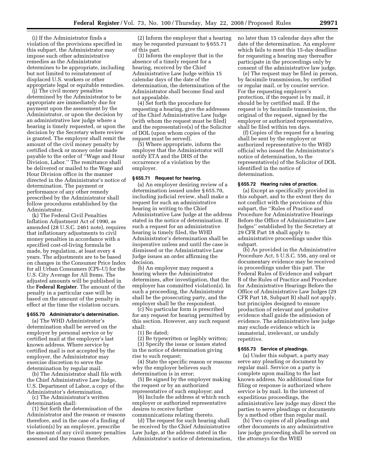(i) If the Administrator finds a violation of the provisions specified in this subpart, the Administrator may impose such other administrative remedies as the Administrator determines to be appropriate, including but not limited to reinstatement of displaced U.S. workers or other appropriate legal or equitable remedies.

(j) The civil money penalties determined by the Administrator to be appropriate are immediately due for payment upon the assessment by the Administrator, or upon the decision by an administrative law judge where a hearing is timely requested, or upon the decision by the Secretary where review is granted. The employer shall remit the amount of the civil money penalty by certified check or money order made payable to the order of "Wage and Hour Division, Labor.'' The remittance shall be delivered or mailed to the Wage and Hour Division office in the manner directed in the Administrator's notice of determination. The payment or performance of any other remedy prescribed by the Administrator shall follow procedures established by the Administrator.

(k) The Federal Civil Penalties Inflation Adjustment Act of 1990, as amended (28 U.S.C. 2461 note), requires that inflationary adjustments to civil money penalties in accordance with a specified cost-of-living formula be made, by regulation, at least every 4 years. The adjustments are to be based on changes in the Consumer Price Index for all Urban Consumers (CPI–U) for the U.S. City Average for All Items. The adjusted amounts will be published in the **Federal Register**. The amount of the penalty in a particular case will be based on the amount of the penalty in effect at the time the violation occurs.

#### **§ 655.70 Administrator's determination.**

(a) The WHD Administrator's determination shall be served on the employer by personal service or by certified mail at the employer's last known address. Where service by certified mail is not accepted by the employer, the Administrator may exercise discretion to serve the determination by regular mail.

(b) The Administrator shall file with the Chief Administrative Law Judge, U.S. Department of Labor, a copy of the Administrator's determination.

(c) The Administrator's written determination shall:

(1) Set forth the determination of the Administrator and the reason or reasons therefore, and in the case of a finding of violation(s) by an employer, prescribe the amount of any civil money penalties assessed and the reason therefore.

(2) Inform the employer that a hearing may be requested pursuant to § 655.71 of this part.

(3) Inform the employer that in the absence of a timely request for a hearing, received by the Chief Administrative Law Judge within 15 calendar days of the date of the determination, the determination of the Administrator shall become final and not appealable.

(4) Set forth the procedure for requesting a hearing, give the addresses of the Chief Administrative Law Judge (with whom the request must be filed) and the representative(s) of the Solicitor of DOL (upon whom copies of the request must be served).

(5) Where appropriate, inform the employer that the Administrator will notify ETA and the DHS of the occurrence of a violation by the employer.

## **§ 655.71 Request for hearing.**

(a) An employer desiring review of a determination issued under § 655.70, including judicial review, shall make a request for such an administrative hearing in writing to the Chief Administrative Law Judge at the address stated in the notice of determination. If such a request for an administrative hearing is timely filed, the WHD Administrator's determination shall be inoperative unless and until the case is dismissed or the Administrative Law Judge issues an order affirming the decision.

(b) An employer may request a hearing where the Administrator determines, after investigation, that the employer has committed violation(s). In such a proceeding, the Administrator shall be the prosecuting party, and the employer shall be the respondent.

(c) No particular form is prescribed for any request for hearing permitted by this section. However, any such request shall:

(1) Be dated;

(2) Be typewritten or legibly written; (3) Specify the issue or issues stated in the notice of determination giving rise to such request;

(4) State the specific reason or reasons why the employer believes such determination is in error;

(5) Be signed by the employer making the request or by an authorized representative of such employer; and

(6) Include the address at which such employer or authorized representative desires to receive further communications relating thereto.

(d) The request for such hearing shall be received by the Chief Administrative Law Judge, at the address stated in the Administrator's notice of determination, no later than 15 calendar days after the date of the determination. An employer which fails to meet this 15-day deadline for requesting a hearing may thereafter participate in the proceedings only by consent of the administrative law judge.

(e) The request may be filed in person, by facsimile transmission, by certified or regular mail, or by courier service. For the requesting employer's protection, if the request is by mail, it should be by certified mail. If the request is by facsimile transmission, the original of the request, signed by the employer or authorized representative, shall be filed within ten days.

(f) Copies of the request for a hearing shall be sent by the employer or authorized representative to the WHD official who issued the Administrator's notice of determination, to the representative(s) of the Solicitor of DOL identified in the notice of determination.

## **§ 655.72 Hearing rules of practice.**

(a) Except as specifically provided in this subpart, and to the extent they do not conflict with the provisions of this subpart, the ''Rules of Practice and Procedure for Administrative Hearings Before the Office of Administrative Law Judges'' established by the Secretary at 29 CFR Part 18 shall apply to administrative proceedings under this subpart.

(b) As provided in the Administrative Procedure Act, 5 U.S.C. 556, any oral or documentary evidence may be received in proceedings under this part. The Federal Rules of Evidence and subpart B of the Rules of Practice and Procedure for Administrative Hearings Before the Office of Administrative Law Judges (29 CFR Part 18, Subpart B) shall not apply, but principles designed to ensure production of relevant and probative evidence shall guide the admission of evidence. The administrative law judge may exclude evidence which is immaterial, irrelevant, or unduly repetitive.

#### **§ 655.73 Service of pleadings.**

(a) Under this subpart, a party may serve any pleading or document by regular mail. Service on a party is complete upon mailing to the last known address. No additional time for filing or response is authorized where service is by mail. In the interest of expeditious proceedings, the administrative law judge may direct the parties to serve pleadings or documents by a method other than regular mail.

(b) Two copies of all pleadings and other documents in any administrative law judge proceeding shall be served on the attorneys for the WHD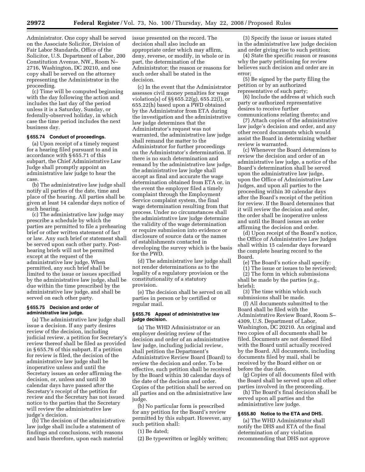Administrator. One copy shall be served on the Associate Solicitor, Division of Fair Labor Standards, Office of the Solicitor, U.S. Department of Labor, 200 Constitution Avenue, NW., Room N– 2716, Washington, DC 20210, and one copy shall be served on the attorney representing the Administrator in the proceeding.

(c) Time will be computed beginning with the day following the action and includes the last day of the period unless it is a Saturday, Sunday, or federally-observed holiday, in which case the time period includes the next business day.

## **§ 655.74 Conduct of proceedings.**

(a) Upon receipt of a timely request for a hearing filed pursuant to and in accordance with § 655.71 of this subpart, the Chief Administrative Law Judge shall promptly appoint an administrative law judge to hear the case.

(b) The administrative law judge shall notify all parties of the date, time and place of the hearing. All parties shall be given at least 14 calendar days notice of such hearing.

(c) The administrative law judge may prescribe a schedule by which the parties are permitted to file a prehearing brief or other written statement of fact or law. Any such brief or statement shall be served upon each other party. Posthearing briefs will not be permitted except at the request of the administrative law judge. When permitted, any such brief shall be limited to the issue or issues specified by the administrative law judge, shall be due within the time prescribed by the administrative law judge, and shall be served on each other party.

## **§ 655.75 Decision and order of administrative law judge.**

(a) The administrative law judge shall issue a decision. If any party desires review of the decision, including judicial review, a petition for Secretary's review thereof shall be filed as provided in § 655.76 of this subpart. If a petition for review is filed, the decision of the administrative law judge shall be inoperative unless and until the Secretary issues an order affirming the decision, or, unless and until 30 calendar days have passed after the Secretary's receipt of the petition for review and the Secretary has not issued notice to the parties that the Secretary will review the administrative law judge's decision.

(b) The decision of the administrative law judge shall include a statement of findings and conclusions, with reasons and basis therefore, upon each material

issue presented on the record. The decision shall also include an appropriate order which may affirm, deny, reverse, or modify, in whole or in part, the determination of the Administrator; the reason or reasons for such order shall be stated in the decision.

(c) In the event that the Administrator assesses civil money penalties for wage violation(s) of §§ 655.22(g), 655.22(l), or 655.22(h) based upon a PWD obtained by the Administrator from ETA during the investigation and the administrative law judge determines that the Administrator's request was not warranted, the administrative law judge shall remand the matter to the Administrator for further proceedings on the Administrator's determination. If there is no such determination and remand by the administrative law judge, the administrative law judge shall accept as final and accurate the wage determination obtained from ETA or, in the event the employer filed a timely complaint through the Employment Service complaint system, the final wage determination resulting from that process. Under no circumstances shall the administrative law judge determine the validity of the wage determination or require submission into evidence or disclosure of source data or the names of establishments contacted in developing the survey which is the basis for the PWD.

(d) The administrative law judge shall not render determinations as to the legality of a regulatory provision or the constitutionality of a statutory provision.

(e) The decision shall be served on all parties in person or by certified or regular mail.

#### **§ 655.76 Appeal of administrative law judge decision.**

(a) The WHD Administrator or an employer desiring review of the decision and order of an administrative law judge, including judicial review, shall petition the Department's Administrative Review Board (Board) to review the decision and order. To be effective, such petition shall be received by the Board within 30 calendar days of the date of the decision and order. Copies of the petition shall be served on all parties and on the administrative law judge.

(b) No particular form is prescribed for any petition for the Board's review permitted by this subpart. However, any such petition shall:

(1) Be dated;

(2) Be typewritten or legibly written;

(3) Specify the issue or issues stated in the administrative law judge decision and order giving rise to such petition;

(4) State the specific reason or reasons why the party petitioning for review believes such decision and order are in error;

(5) Be signed by the party filing the petition or by an authorized representative of such party;

(6) Include the address at which such party or authorized representative desires to receive further communications relating thereto; and

(7) Attach copies of the administrative law judge's decision and order, and any other record documents which would assist the Board in determining whether review is warranted.

(c) Whenever the Board determines to review the decision and order of an administrative law judge, a notice of the Board's determination shall be served upon the administrative law judge, upon the Office of Administrative Law Judges, and upon all parties to the proceeding within 30 calendar days after the Board's receipt of the petition for review. If the Board determines that it will review the decision and order, the order shall be inoperative unless and until the Board issues an order affirming the decision and order.

(d) Upon receipt of the Board's notice, the Office of Administrative Law Judges shall within 15 calendar days forward the complete hearing record to the Board.

(e) The Board's notice shall specify:

(1) The issue or issues to be reviewed;

(2) The form in which submissions

shall be made by the parties (e.g., briefs);

(3) The time within which such submissions shall be made.

(f) All documents submitted to the Board shall be filed with the Administrative Review Board, Room S– 4309, U.S. Department of Labor, Washington, DC 20210. An original and two copies of all documents shall be filed. Documents are not deemed filed with the Board until actually received by the Board. All documents, including documents filed by mail, shall be received by the Board either on or before the due date.

(g) Copies of all documents filed with the Board shall be served upon all other parties involved in the proceeding.

(h) The Board's final decision shall be served upon all parties and the administrative law judge.

## **§ 655.80 Notice to the ETA and DHS.**

(a) The WHD Administrator shall notify the DHS and ETA of the final determination of any violation recommending that DHS not approve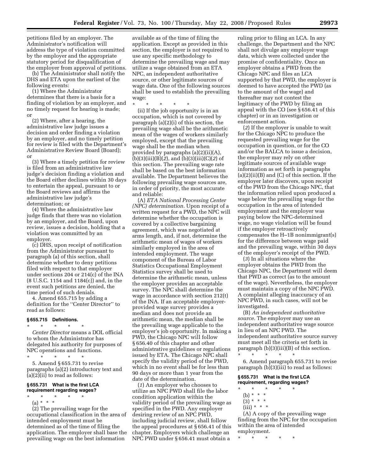petitions filed by an employer. The Administrator's notification will address the type of violation committed by the employer and the appropriate statutory period for disqualification of the employer from approval of petitions.

(b) The Administrator shall notify the DHS and ETA upon the earliest of the following events:

(1) Where the Administrator determines that there is a basis for a finding of violation by an employer, and no timely request for hearing is made; or

(2) Where, after a hearing, the administrative law judge issues a decision and order finding a violation by an employer, and no timely petition for review is filed with the Department's Administrative Review Board (Board); or

(3) Where a timely petition for review is filed from an administrative law judge's decision finding a violation and the Board either declines within 30 days to entertain the appeal, pursuant to or the Board reviews and affirms the administrative law judge's determination; or

(4) Where the administrative law judge finds that there was no violation by an employer, and the Board, upon review, issues a decision, holding that a violation was committed by an employer.

(c) DHS, upon receipt of notification from the Administrator pursuant to paragraph (a) of this section, shall determine whether to deny petitions filed with respect to that employer under sections 204 or 214(c) of the INA (8 U.S.C. 1154 and 1184(c)) and, in the event such petitions are denied, the time period of such denials.

4. Amend 655.715 by adding a definition for the ''Center Director'' to read as follows:

#### **§ 655.715 Definitions.**  \* \* \* \* \*

*Center Director* means a DOL official to whom the Administrator has delegated his authority for purposes of NPC operations and functions.

\* \* \* \* \* 5. Amend § 655.731 to revise paragraphs (a)(2) introductory text and (a)(2)(ii) to read as follows:

#### **§ 655.731 What is the first LCA requirement regarding wages?**

\* \* \* \* \* (a) \* \* \* (2) The prevailing wage for the occupational classification in the area of intended employment must be determined as of the time of filing the application. The employer shall base the

prevailing wage on the best information

available as of the time of filing the application. Except as provided in this section, the employer is not required to use any specific methodology to determine the prevailing wage and may utilize a wage obtained from an ETA NPC, an independent authoritative source, or other legitimate sources of wage data. One of the following sources shall be used to establish the prevailing wage:

\* \* \* \* \*

(ii) If the job opportunity is in an occupation, which is not covered by paragraph (a)(2)(i) of this section, the prevailing wage shall be the arithmetic mean of the wages of workers similarly employed, except that the prevailing wage shall be the median when provided by paragraphs (a)(2)(ii)(A), (b)(3)(iii)(B)(*2*), and (b)(3)(iii)(C)(*2*) of this section. The prevailing wage rate shall be based on the best information available. The Department believes the following prevailing wage sources are, in order of priority, the most accurate and reliable:

(A) *ETA National Processing Center (NPC) determination.* Upon receipt of a written request for a PWD, the NPC will determine whether the occupation is covered by a collective bargaining agreement, which was negotiated at arms length, and, if not, determine the arithmetic mean of wages of workers similarly employed in the area of intended employment. The wage component of the Bureau of Labor Statistics Occupational Employment Statistics survey shall be used to determine the arithmetic mean, unless the employer provides an acceptable survey. The NPC shall determine the wage in accordance with section 212(t) of the INA. If an acceptable employerprovided wage survey provides a median and does not provide an arithmetic mean, the median shall be the prevailing wage applicable to the employer's job opportunity. In making a PWD, the Chicago NPC will follow § 656.40 of this chapter and other administrative guidelines or regulations issued by ETA. The Chicago NPC shall specify the validity period of the PWD, which in no event shall be for less than 90 days or more than 1 year from the date of the determination.

(*1*) An employer who chooses to utilize an NPC PWD shall file the labor condition application within the validity period of the prevailing wage as specified in the PWD. Any employer desiring review of an NPC PWD, including judicial review, shall follow the appeal procedures at § 656.41 of this chapter. Employers which challenge an NPC PWD under § 656.41 must obtain a

ruling prior to filing an LCA. In any challenge, the Department and the NPC shall not divulge any employer wage data, which were collected under the promise of confidentiality. Once an employer obtains a PWD from the Chicago NPC and files an LCA supported by that PWD, the employer is deemed to have accepted the PWD (as to the amount of the wage) and thereafter may not contest the legitimacy of the PWD by filing an appeal with the CO (see § 656.41 of this chapter) or in an investigation or enforcement action.

(*2*) If the employer is unable to wait for the Chicago NPC to produce the requested prevailing wage for the occupation in question, or for the CO and/or the BALCA to issue a decision, the employer may rely on other legitimate sources of available wage information as set forth in paragraphs  $(a)(2)(ii)(B)$  and  $(C)$  of this section. If the employer later discovers, upon receipt of the PWD from the Chicago NPC, that the information relied upon produced a wage below the prevailing wage for the occupation in the area of intended employment and the employer was paying below the NPC-determined wage, no wage violation will be found if the employer retroactively compensates the H–1B nonimmigrant(s) for the difference between wage paid and the prevailing wage, within 30 days of the employer's receipt of the PWD.

(*3*) In all situations where the employer obtains the PWD from the Chicago NPC, the Department will deem that PWD as correct (as to the amount of the wage). Nevertheless, the employer must maintain a copy of the NPC PWD. A complaint alleging inaccuracy of an NPC PWD, in such cases, will not be investigated.

(B) *An independent authoritative source.* The employer may use an independent authoritative wage source in lieu of an NPC PWD. The independent authoritative source survey must meet all the criteria set forth in paragraph (b)(3)(iii)(B) of this section. \* \* \* \* \*

6. Amend paragraph 655.731 to revise paragraph (b)(3)(iii) to read as follows:

#### **§ 655.731 What is the first LCA requirement, regarding wages?**

- \* \* \* \* \* (b) \* \* \*
	- $(3) * * * *$
	- $(iii) * * * *$

(A) A copy of the prevailing wage finding from the NPC for the occupation within the area of intended employment.

\* \* \* \* \*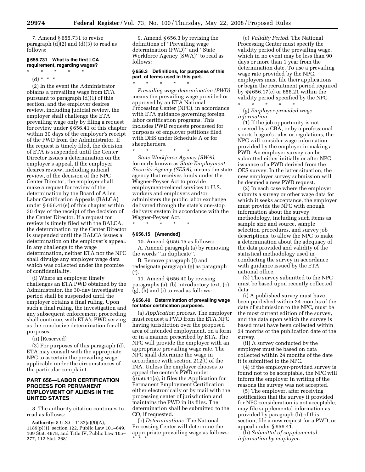7. Amend § 655.731 to revise paragraph  $(d)(2)$  and  $(d)(3)$  to read as follows:

#### **§ 655.731 What is the first LCA requirement, regarding wages?**

- \* \* \* \* \*
- (d) \* \* \*

(2) In the event the Administrator obtains a prevailing wage from ETA pursuant to paragraph (d)(1) of this section, and the employer desires review, including judicial review, the employer shall challenge the ETA prevailing wage only by filing a request for review under § 656.41 of this chapter within 30 days of the employer's receipt of the PWD from the Administrator. If the request is timely filed, the decision of ETA is suspended until the Center Director issues a determination on the employer's appeal. If the employer desires review, including judicial review, of the decision of the NPC Center Director, the employer shall make a request for review of the determination by the Board of Alien Labor Certification Appeals (BALCA) under § 656.41(e) of this chapter within 30 days of the receipt of the decision of the Center Director. If a request for review is timely filed with the BALCA, the determination by the Center Director is suspended until the BALCA issues a determination on the employer's appeal. In any challenge to the wage determination, neither ETA nor the NPC shall divulge any employer wage data which was collected under the promise of confidentiality.

(i) Where an employer timely challenges an ETA PWD obtained by the Administrator, the 30-day investigative period shall be suspended until the employer obtains a final ruling. Upon such a final ruling, the investigation and any subsequent enforcement proceeding shall continue, with ETA's PWD serving as the conclusive determination for all purposes.

(ii) [Reserved]

(3) For purposes of this paragraph (d), ETA may consult with the appropriate NPC to ascertain the prevailing wage applicable under the circumstances of the particular complaint.

## **PART 656—LABOR CERTIFICATION PROCESS FOR PERMANENT EMPLOYMENT OF ALIENS IN THE UNITED STATES**

8. The authority citation continues to read as follows:

**Authority:** 8 U.S.C. 1182(a)(5)(A), 1189(p)(1); section 122, Public Law 101–649, 109 Stat. 4978; and Title IV, Public Law 105– 277, 112 Stat. 2681.

9. Amend § 656.3 by revising the definitions of ''Prevailing wage determination (PWD)'' and ''State Workforce Agency (SWA)'' to read as follows:

#### **§ 656.3 Definitions, for purposes of this part, of terms used in this part.**

\* \* \* \* \* *Prevailing wage determination (PWD)*  means the prevailing wage provided or approved by an ETA National Processing Center (NPC), in accordance with ETA guidance governing foreign labor certification programs. This includes PWD requests processed for purposes of employer petitions filed with DHS under Schedule A or for sheepherders.

\* \* \* \* \*

*State Workforce Agency (SWA)*, formerly known as *State Employment Security Agency (SESA),* means the state agency that receives funds under the Wagner-Peyser Act to provide employment-related services to U.S. workers and employers and/or administers the public labor exchange delivered through the state's one-stop delivery system in accordance with the Wagner-Peyser Act.

\* \* \* \* \*

## **§ 656.15 [Amended]**

10. Amend § 656.15 as follows: A. Amend paragraph (a) by removing the words ''in duplicate''.

B. Remove paragraph (f) and redesignate paragraph (g) as paragraph (f).

11. Amend § 656.40 by revising paragraphs (a), (b) introductory text, (c), (g), (h) and (i) to read as follows:

#### **§ 656.40 Determination of prevailing wage for labor certification purposes.**

(a) *Application process.* The employer must request a PWD from the ETA NPC having jurisdiction over the proposed area of intended employment, on a form or in a manner prescribed by ETA. The NPC will provide the employer with an appropriate prevailing wage rate. The NPC shall determine the wage in accordance with section 212(t) of the INA. Unless the employer chooses to appeal the center's PWD under § 656.41(a), it files the Application for Permanent Employment Certification either electronically or by mail with the processing center of jurisdiction and maintains the PWD in its files. The determination shall be submitted to the CO, if requested.

(b) *Determinations.* The National Processing Center will determine the appropriate prevailing wage as follows: \* \* \*

(c) *Validity Period.* The National Processing Center must specify the validity period of the prevailing wage, which in no event may be less than 90 days or more than 1 year from the determination date. To use a prevailing wage rate provided by the NPC, employers must file their applications or begin the recruitment period required by §§ 656.17(e) or 656.21 within the validity period specified by the NPC. \* \* \* \* \*

(g) *Employer-provided wage information.* 

(1) If the job opportunity is not covered by a CBA, or by a professional sports league's rules or regulations, the NPC will consider wage information provided by the employer in making a PWD. An employer survey can be submitted either initially or after NPC issuance of a PWD derived from the OES survey. In the latter situation, the new employer survey submission will be deemed a new PWD request.

(2) In each case where the employer submits a survey or other wage data for which it seeks acceptance, the employer must provide the NPC with enough information about the survey methodology, including such items as sample size and source, sample selection procedures, and survey job descriptions, to allow the NPC to make a determination about the adequacy of the data provided and validity of the statistical methodology used in conducting the survey in accordance with guidance issued by the ETA national office.

(3) The survey submitted to the NPC must be based upon recently collected data:

(i) A published survey must have been published within 24 months of the date of submission to the NPC, must be the most current edition of the survey, and the data upon which the survey is based must have been collected within 24 months of the publication date of the survey.

(ii) A survey conducted by the employer must be based on data collected within 24 months of the date it is submitted to the NPC.

(4) if the employer-provided survey is found not to be acceptable, the NPC will inform the employer in writing of the reasons the survey was not accepted.

(5) The employer, after receiving notification that the survey it provided for NPC consideration is not acceptable, may file supplemental information as provided by paragraph (h) of this section, file a new request for a PWD, or appeal under § 656.41.

(h) *Submittal of supplemental information by employer.*